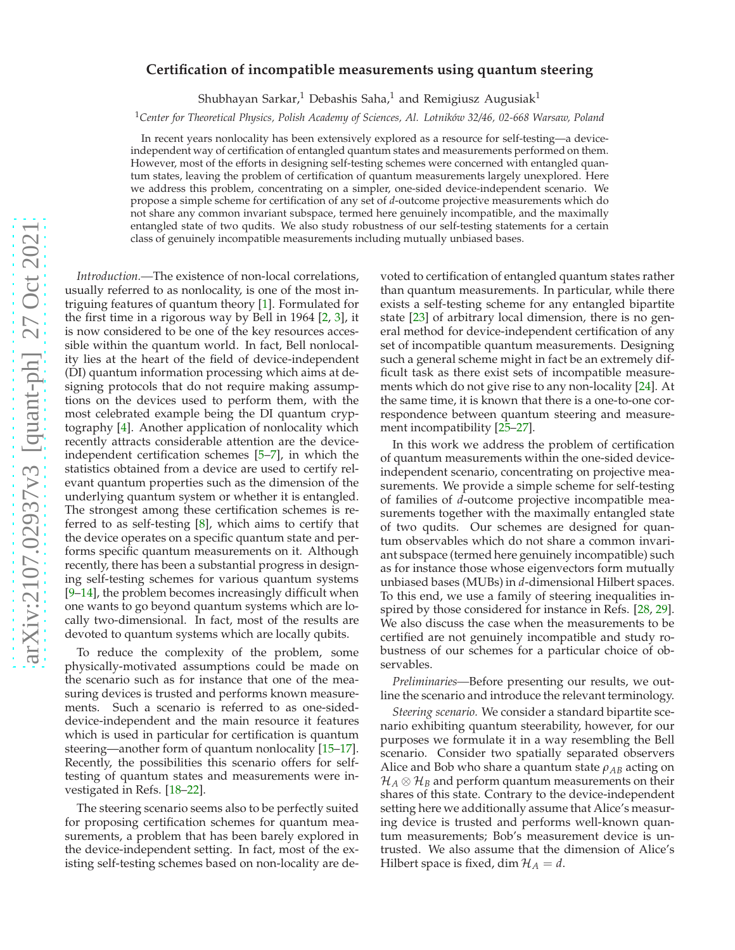# arXiv:2107.02937v3 [quant-ph] 27 Oct 2021 [arXiv:2107.02937v3 \[quant-ph\] 27 Oct 2021](http://arxiv.org/abs/2107.02937v3)

# **Certification of incompatible measurements using quantum steering**

Shubhayan Sarkar,<sup>1</sup> Debashis Saha,<sup>1</sup> and Remigiusz Augusiak<sup>1</sup>

<sup>1</sup>*Center for Theoretical Physics, Polish Academy of Sciences, Al. Lotników 32/46, 02-668 Warsaw, Poland*

In recent years nonlocality has been extensively explored as a resource for self-testing—a deviceindependent way of certification of entangled quantum states and measurements performed on them. However, most of the efforts in designing self-testing schemes were concerned with entangled quantum states, leaving the problem of certification of quantum measurements largely unexplored. Here we address this problem, concentrating on a simpler, one-sided device-independent scenario. We propose a simple scheme for certification of any set of *d*-outcome projective measurements which do not share any common invariant subspace, termed here genuinely incompatible, and the maximally entangled state of two qudits. We also study robustness of our self-testing statements for a certain class of genuinely incompatible measurements including mutually unbiased bases.

*Introduction.—*The existence of non-local correlations, usually referred to as nonlocality, is one of the most intriguing features of quantum theory [\[1](#page-4-0)]. Formulated for the first time in a rigorous way by Bell in 1964 [\[2](#page-4-1), [3\]](#page-4-2), it is now considered to be one of the key resources accessible within the quantum world. In fact, Bell nonlocality lies at the heart of the field of device-independent (DI) quantum information processing which aims at designing protocols that do not require making assumptions on the devices used to perform them, with the most celebrated example being the DI quantum cryptography [\[4\]](#page-4-3). Another application of nonlocality which recently attracts considerable attention are the deviceindependent certification schemes [\[5](#page-4-4)[–7](#page-4-5)], in which the statistics obtained from a device are used to certify relevant quantum properties such as the dimension of the underlying quantum system or whether it is entangled. The strongest among these certification schemes is referred to as self-testing [\[8\]](#page-4-6), which aims to certify that the device operates on a specific quantum state and performs specific quantum measurements on it. Although recently, there has been a substantial progress in designing self-testing schemes for various quantum systems [\[9](#page-4-7)[–14](#page-4-8)], the problem becomes increasingly difficult when one wants to go beyond quantum systems which are locally two-dimensional. In fact, most of the results are devoted to quantum systems which are locally qubits.

To reduce the complexity of the problem, some physically-motivated assumptions could be made on the scenario such as for instance that one of the measuring devices is trusted and performs known measurements. Such a scenario is referred to as one-sideddevice-independent and the main resource it features which is used in particular for certification is quantum steering—another form of quantum nonlocality [\[15](#page-4-9)[–17](#page-4-10)]. Recently, the possibilities this scenario offers for selftesting of quantum states and measurements were investigated in Refs. [\[18](#page-4-11)[–22\]](#page-4-12).

The steering scenario seems also to be perfectly suited for proposing certification schemes for quantum measurements, a problem that has been barely explored in the device-independent setting. In fact, most of the existing self-testing schemes based on non-locality are de-

voted to certification of entangled quantum states rather than quantum measurements. In particular, while there exists a self-testing scheme for any entangled bipartite state [\[23](#page-4-13)] of arbitrary local dimension, there is no general method for device-independent certification of any set of incompatible quantum measurements. Designing such a general scheme might in fact be an extremely difficult task as there exist sets of incompatible measurements which do not give rise to any non-locality [\[24\]](#page-4-14). At the same time, it is known that there is a one-to-one correspondence between quantum steering and measurement incompatibility [\[25](#page-4-15)[–27\]](#page-4-16).

In this work we address the problem of certification of quantum measurements within the one-sided deviceindependent scenario, concentrating on projective measurements. We provide a simple scheme for self-testing of families of *d*-outcome projective incompatible measurements together with the maximally entangled state of two qudits. Our schemes are designed for quantum observables which do not share a common invariant subspace (termed here genuinely incompatible) such as for instance those whose eigenvectors form mutually unbiased bases (MUBs) in *d*-dimensional Hilbert spaces. To this end, we use a family of steering inequalities inspired by those considered for instance in Refs. [\[28](#page-4-17), [29](#page-4-18)]. We also discuss the case when the measurements to be certified are not genuinely incompatible and study robustness of our schemes for a particular choice of observables.

*Preliminaries—*Before presenting our results, we outline the scenario and introduce the relevant terminology.

*Steering scenario.* We consider a standard bipartite scenario exhibiting quantum steerability, however, for our purposes we formulate it in a way resembling the Bell scenario. Consider two spatially separated observers Alice and Bob who share a quantum state *ρAB* acting on  $\mathcal{H}_A \otimes \mathcal{H}_B$  and perform quantum measurements on their shares of this state. Contrary to the device-independent setting here we additionally assume that Alice's measuring device is trusted and performs well-known quantum measurements; Bob's measurement device is untrusted. We also assume that the dimension of Alice's Hilbert space is fixed, dim  $\mathcal{H}_A = d$ .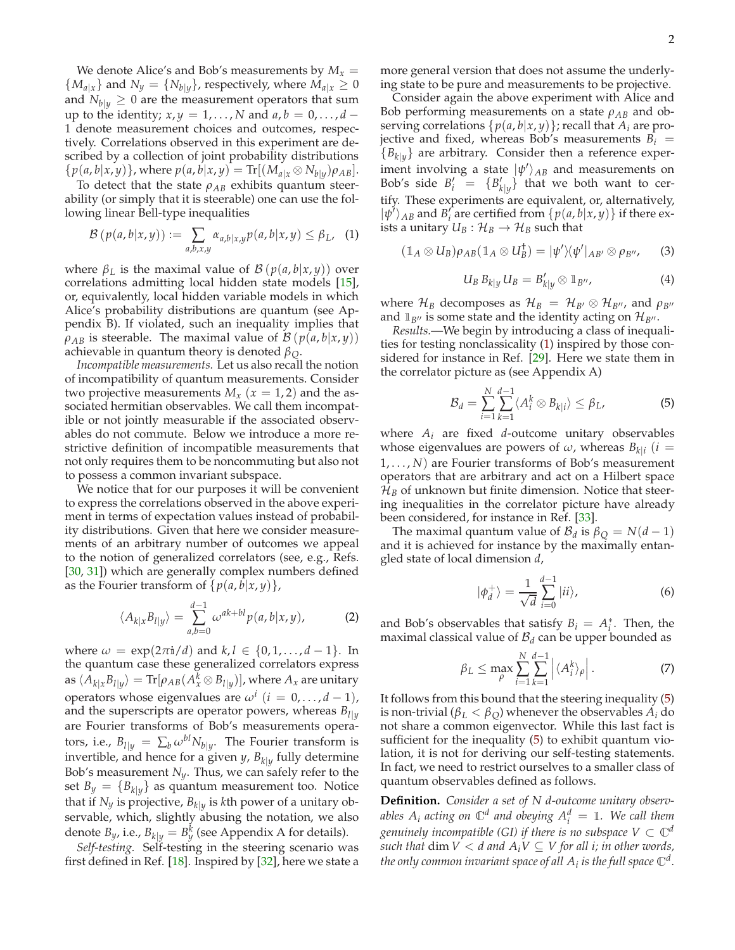We denote Alice's and Bob's measurements by  $M_x =$  ${M_{a|x}}$  and  $N_y = {N_{b|y}}$ , respectively, where  $M_{a|x} \geq 0$ and  $N_{b|y} \geq 0$  are the measurement operators that sum up to the identity;  $x, y = 1, \ldots, N$  and  $a, b = 0, \ldots, d$ 1 denote measurement choices and outcomes, respectively. Correlations observed in this experiment are described by a collection of joint probability distributions  $\{p(a, b|x, y)\},$  where  $p(a, b|x, y) = \text{Tr}[(M_{a|x} \otimes N_{b|y})\rho_{AB}].$ 

To detect that the state  $\rho_{AB}$  exhibits quantum steerability (or simply that it is steerable) one can use the following linear Bell-type inequalities

<span id="page-1-0"></span>
$$
\mathcal{B}\left(p(a,b|x,y)\right) := \sum_{a,b,x,y} \alpha_{a,b|x,y} p(a,b|x,y) \leq \beta_L, \quad (1)
$$

where  $\beta_L$  is the maximal value of  $\mathcal{B}(p(a,b|x,y))$  over correlations admitting local hidden state models [\[15](#page-4-9)], or, equivalently, local hidden variable models in which Alice's probability distributions are quantum (see Appendix B). If violated, such an inequality implies that  $\rho_{AB}$  is steerable. The maximal value of  $\mathcal{B}(p(a,b|x,y))$ achievable in quantum theory is denoted *βQ*.

*Incompatible measurements.* Let us also recall the notion of incompatibility of quantum measurements. Consider two projective measurements  $M_x$  ( $x = 1, 2$ ) and the associated hermitian observables. We call them incompatible or not jointly measurable if the associated observables do not commute. Below we introduce a more restrictive definition of incompatible measurements that not only requires them to be noncommuting but also not to possess a common invariant subspace.

We notice that for our purposes it will be convenient to express the correlations observed in the above experiment in terms of expectation values instead of probability distributions. Given that here we consider measurements of an arbitrary number of outcomes we appeal to the notion of generalized correlators (see, e.g., Refs. [\[30](#page-4-19), [31\]](#page-4-20)) which are generally complex numbers defined as the Fourier transform of  $\{p(a, b|x, y)\}\,$ ,

$$
\langle A_{k|x} B_{l|y} \rangle = \sum_{a,b=0}^{d-1} \omega^{ak+bl} p(a,b|x,y), \tag{2}
$$

where  $\omega = \exp(2\pi i/d)$  and  $k, l \in \{0, 1, ..., d-1\}$ . In the quantum case these generalized correlators express  $\text{as } \langle A_{k|x} B_{l|y} \rangle = \text{Tr}[\rho_{AB}(A_x^k \otimes B_{l|y})], \text{where } A_x \text{ are unitary}$ operators whose eigenvalues are  $\omega^i$  ( $i = 0, ..., d - 1$ ), and the superscripts are operator powers, whereas  $B_{l|y}$ are Fourier transforms of Bob's measurements operators, i.e.,  $B_{l|y} = \sum_{b} \omega^{bl} N_{b|y}$ . The Fourier transform is invertible, and hence for a given *<sup>y</sup>*, *<sup>B</sup>k*|*<sup>y</sup>* fully determine Bob's measurement  $N_y$ . Thus, we can safely refer to the set  $B_y = \{B_{k|y}\}\$ as quantum measurement too. Notice that if *<sup>N</sup><sup>y</sup>* is projective, *<sup>B</sup>k*|*<sup>y</sup>* is *k*th power of a unitary observable, which, slightly abusing the notation, we also denote *B<sub>y</sub>*, i.e.,  $B_{k|y} = B_y^k$  (see Appendix A for details).

*Self-testing.* Self-testing in the steering scenario was first defined in Ref. [\[18](#page-4-11)]. Inspired by [\[32\]](#page-4-21), here we state a more general version that does not assume the underlying state to be pure and measurements to be projective.

Consider again the above experiment with Alice and Bob performing measurements on a state  $\rho_{AB}$  and observing correlations  $\{p(a, b|x, y)\}$ ; recall that  $A_i$  are projective and fixed, whereas Bob's measurements  $B_i$  =  ${B_k|_y}$  are arbitrary. Consider then a reference experiment involving a state  $|\psi'\rangle_{AB}$  and measurements on Bob's side  $B'_i = \{B'_{k|y}\}\$ that we both want to certify. These experiments are equivalent, or, alternatively,  $|\psi'\rangle_{AB}$  and *B*<sup>*i*</sup><sub>*i*</sub> are certified from  $\{p(a, b|x, y)\}$  if there exists a unitary  $U_B: \mathcal{H}_B \to \mathcal{H}_B$  such that

$$
(\mathbb{1}_A \otimes U_B)\rho_{AB}(\mathbb{1}_A \otimes U_B^{\dagger}) = |\psi'\rangle\langle\psi'|_{AB'} \otimes \rho_{B''},\qquad(3)
$$

$$
U_B B_{k|y} U_B = B'_{k|y} \otimes \mathbb{1}_{B''}, \qquad (4)
$$

where  $\mathcal{H}_B$  decomposes as  $\mathcal{H}_B = \mathcal{H}_{B'} \otimes \mathcal{H}_{B''}$ , and  $\rho_{B''}$ and  $\mathbb{1}_{B''}$  is some state and the identity acting on  $\mathcal{H}_{B''}$ .

*Results.—*We begin by introducing a class of inequalities for testing nonclassicality [\(1\)](#page-1-0) inspired by those considered for instance in Ref. [\[29\]](#page-4-18). Here we state them in the correlator picture as (see Appendix A)

<span id="page-1-1"></span>
$$
\mathcal{B}_d = \sum_{i=1}^N \sum_{k=1}^{d-1} \langle A_i^k \otimes B_{k|i} \rangle \leq \beta_L,
$$
 (5)

where *A<sup>i</sup>* are fixed *d*-outcome unitary observables whose eigenvalues are powers of  $\omega$ , whereas  $B_{k|i}$  (*i* = 1, . . . , *N*) are Fourier transforms of Bob's measurement operators that are arbitrary and act on a Hilbert space  $\mathcal{H}_B$  of unknown but finite dimension. Notice that steering inequalities in the correlator picture have already been considered, for instance in Ref. [\[33](#page-4-22)].

The maximal quantum value of  $B_d$  is  $\beta_Q = N(d-1)$ and it is achieved for instance by the maximally entangled state of local dimension *d*,

<span id="page-1-2"></span>
$$
|\phi_d^+\rangle = \frac{1}{\sqrt{d}} \sum_{i=0}^{d-1} |ii\rangle,\tag{6}
$$

and Bob's observables that satisfy  $B_i = A_i^*$ . Then, the maximal classical value of  $B_d$  can be upper bounded as

<span id="page-1-3"></span>
$$
\beta_L \le \max_{\rho} \sum_{i=1}^N \sum_{k=1}^{d-1} \left| \langle A_i^k \rangle_{\rho} \right|.
$$
 (7)

It follows from this bound that the steering inequality [\(5\)](#page-1-1) is non-trivial ( $\beta_L < \beta_O$ ) whenever the observables  $A_i$  do not share a common eigenvector. While this last fact is sufficient for the inequality [\(5\)](#page-1-1) to exhibit quantum violation, it is not for deriving our self-testing statements. In fact, we need to restrict ourselves to a smaller class of quantum observables defined as follows.

**Definition.** *Consider a set of N d-outcome unitary observables*  $A_i$  *acting on*  $\mathbb{C}^d$  *and obeying*  $A_i^d = \mathbb{I}$ *. We call them genuinely incompatible (GI) if there is no subspace*  $V \subset \mathbb{C}^d$ *such that*  $dim V < d$  *and*  $A_i V \subseteq V$  *for all i; in other words,* the only common invariant space of all  $A_i$  is the full space  $\mathbb{C}^d$ .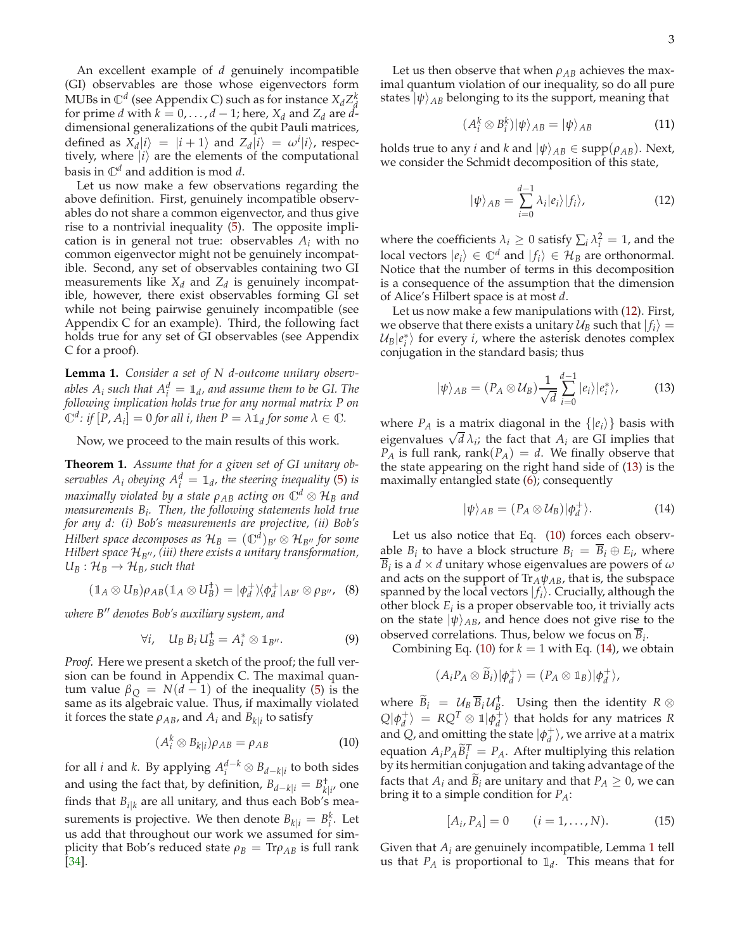An excellent example of *d* genuinely incompatible (GI) observables are those whose eigenvectors form MUBs in  $\mathbb{C}^d$  (see Appendix C) such as for instance  $X_d Z_d^k$ for prime *d* with  $k = 0, \ldots, d - 1$ ; here,  $X_d$  and  $Z_d$  are  $\ddot{d}$ dimensional generalizations of the qubit Pauli matrices, defined as  $X_d|i\rangle = |i+1\rangle$  and  $Z_d|i\rangle = \omega^i|i\rangle$ , respectively, where  $|i\rangle$  are the elements of the computational basis in <sup>C</sup>*<sup>d</sup>* and addition is mod *d*.

Let us now make a few observations regarding the above definition. First, genuinely incompatible observables do not share a common eigenvector, and thus give rise to a nontrivial inequality [\(5\)](#page-1-1). The opposite implication is in general not true: observables  $A_i$  with no common eigenvector might not be genuinely incompatible. Second, any set of observables containing two GI measurements like  $X_d$  and  $Z_d$  is genuinely incompatible, however, there exist observables forming GI set while not being pairwise genuinely incompatible (see Appendix C for an example). Third, the following fact holds true for any set of GI observables (see Appendix C for a proof).

**Lemma 1.** *Consider a set of N d-outcome unitary observables A<sub>i</sub> such that*  $A_i^d = \mathbb{1}_d$ *, and assume them to be GI. The following implication holds true for any normal matrix P on*  $\mathbb{C}^d$ : *if*  $[P, A_i] = 0$  for all *i*, then  $P = \lambda \mathbb{1}_d$  for some  $\lambda \in \mathbb{C}$ .

Now, we proceed to the main results of this work.

**Theorem 1.** *Assume that for a given set of GI unitary observables*  $A_i$  *obeying*  $A_i^d = \mathbb{1}_d$ *, the steering inequality* [\(5\)](#page-1-1) *is maximally violated by a state*  $\rho_{AB}$  *acting on*  $\mathbb{C}^d \otimes \mathcal{H}_B$  *and measurements B<sup>i</sup> . Then, the following statements hold true for any d: (i) Bob's measurements are projective, (ii) Bob's Hilbert space decomposes as*  $\mathcal{H}_B = (\mathbb{C}^d)_{B'} \otimes \mathcal{H}_{B''}$  for some *Hilbert space* H*B*′′ *, (iii) there exists a unitary transformation,*  $U_B: \mathcal{H}_B \to \mathcal{H}_B$ *, such that* 

<span id="page-2-4"></span>
$$
(\mathbb{1}_A \otimes U_B)\rho_{AB}(\mathbb{1}_A \otimes U_B^{\dagger}) = |\phi_d^+\rangle\langle\phi_d^+|_{AB'} \otimes \rho_{B''}, \quad (8)
$$

*where B*′′ *denotes Bob's auxiliary system, and*

<span id="page-2-5"></span>
$$
\forall i, \quad U_B B_i U_B^{\dagger} = A_i^* \otimes \mathbb{1}_{B''}.
$$
 (9)

*Proof.* Here we present a sketch of the proof; the full version can be found in Appendix C. The maximal quantum value  $\beta_Q = N(d-1)$  of the inequality [\(5\)](#page-1-1) is the same as its algebraic value. Thus, if maximally violated it forces the state  $\rho_{AB}$ , and  $A_i$  and  $B_{k|i}$  to satisfy

<span id="page-2-2"></span>
$$
(A_i^k \otimes B_{k|i})\rho_{AB} = \rho_{AB} \tag{10}
$$

for all *i* and *k*. By applying  $A_i^{d-k} \otimes B_{d-k|i}$  to both sides and using the fact that, by definition,  $B_{d-k|i} = B_{k|i'}^{\dagger}$  one finds that  $B_{i|k}$  are all unitary, and thus each Bob's measurements is projective. We then denote  $B_{k|i} = B_i^k$ . Let us add that throughout our work we assumed for simplicity that Bob's reduced state  $\rho_B = Tr \rho_{AB}$  is full rank [\[34](#page-4-23)].

Let us then observe that when  $\rho_{AB}$  achieves the maximal quantum violation of our inequality, so do all pure states  $|\psi\rangle_{AB}$  belonging to its the support, meaning that

$$
(A_i^k \otimes B_i^k)|\psi\rangle_{AB} = |\psi\rangle_{AB} \tag{11}
$$

holds true to any *i* and *k* and  $|\psi\rangle_{AB} \in \text{supp}(\rho_{AB})$ . Next, we consider the Schmidt decomposition of this state,

<span id="page-2-0"></span>
$$
|\psi\rangle_{AB} = \sum_{i=0}^{d-1} \lambda_i |e_i\rangle |f_i\rangle, \qquad (12)
$$

where the coefficients  $\lambda_i \geq 0$  satisfy  $\sum_i \lambda_i^2 = 1$ , and the local vectors  $|e_i\rangle \in \mathbb{C}^d$  and  $|f_i\rangle \in \mathcal{H}_B$  are orthonormal. Notice that the number of terms in this decomposition is a consequence of the assumption that the dimension of Alice's Hilbert space is at most *d*.

Let us now make a few manipulations with [\(12\)](#page-2-0). First, we observe that there exists a unitary  $\mathcal{U}_B$  such that  $|f_i\rangle =$  $\mathcal{U}_B | e_i^* \rangle$  for every *i*, where the asterisk denotes complex conjugation in the standard basis; thus

<span id="page-2-1"></span>
$$
|\psi\rangle_{AB} = (P_A \otimes \mathcal{U}_B) \frac{1}{\sqrt{d}} \sum_{i=0}^{d-1} |e_i\rangle |e_i^*\rangle, \tag{13}
$$

where  $P_A$  is a matrix diagonal in the  $\{ |e_i \rangle \}$  basis with eigenvalues  $\sqrt{d} \lambda_i$ ; the fact that  $A_i$  are GI implies that  $P_A$  is full rank, rank( $P_A$ ) = *d*. We finally observe that the state appearing on the right hand side of [\(13\)](#page-2-1) is the maximally entangled state [\(6\)](#page-1-2); consequently

<span id="page-2-3"></span>
$$
|\psi\rangle_{AB} = (P_A \otimes \mathcal{U}_B)|\phi_d^+\rangle. \tag{14}
$$

Let us also notice that Eq. [\(10\)](#page-2-2) forces each observable  $B_i$  to have a block structure  $B_i = B_i \oplus E_i$ , where *B*<sup>*i*</sup> is a *d*  $\times$  *d* unitary whose eigenvalues are powers of *ω* and acts on the support of  $Tr_A \psi_{AB}$ , that is, the subspace spanned by the local vectors  $|f_i\rangle$ . Crucially, although the other block *E<sup>i</sup>* is a proper observable too, it trivially acts on the state  $|\psi\rangle_{AB}$ , and hence does not give rise to the observed correlations. Thus, below we focus on *B<sup>i</sup>* .

Combining Eq. [\(10\)](#page-2-2) for  $k = 1$  with Eq. [\(14\)](#page-2-3), we obtain

$$
(A_i P_A \otimes \widetilde{B}_i) \vert \phi_d^+ \rangle = (P_A \otimes \mathbb{1}_B) \vert \phi_d^+ \rangle,
$$

where  $\widetilde{B}_i = \mathcal{U}_B \overline{B}_i \mathcal{U}_B^{\dagger}$ . Using then the identity  $R \otimes$  $Q|\phi_d^+\rangle = RQ^T \otimes \mathbb{1}| \phi_d^+\rangle$  that holds for any matrices *R* and *Q*, and omitting the state  $|\phi_d^+\rangle$ , we arrive at a matrix equation  $A_i P_A \widetilde{B}_i^T = P_A$ . After multiplying this relation by its hermitian conjugation and taking advantage of the facts that  $A_i$  and  $B_i$  are unitary and that  $P_A \geq 0$ , we can bring it to a simple condition for *PA*:

$$
[A_i, P_A] = 0 \t (i = 1, ..., N). \t (15)
$$

Given that *A<sup>i</sup>* are genuinely incompatible, Lemma [1](#page-7-0) tell us that  $P_A$  is proportional to  $\mathbb{1}_d$ . This means that for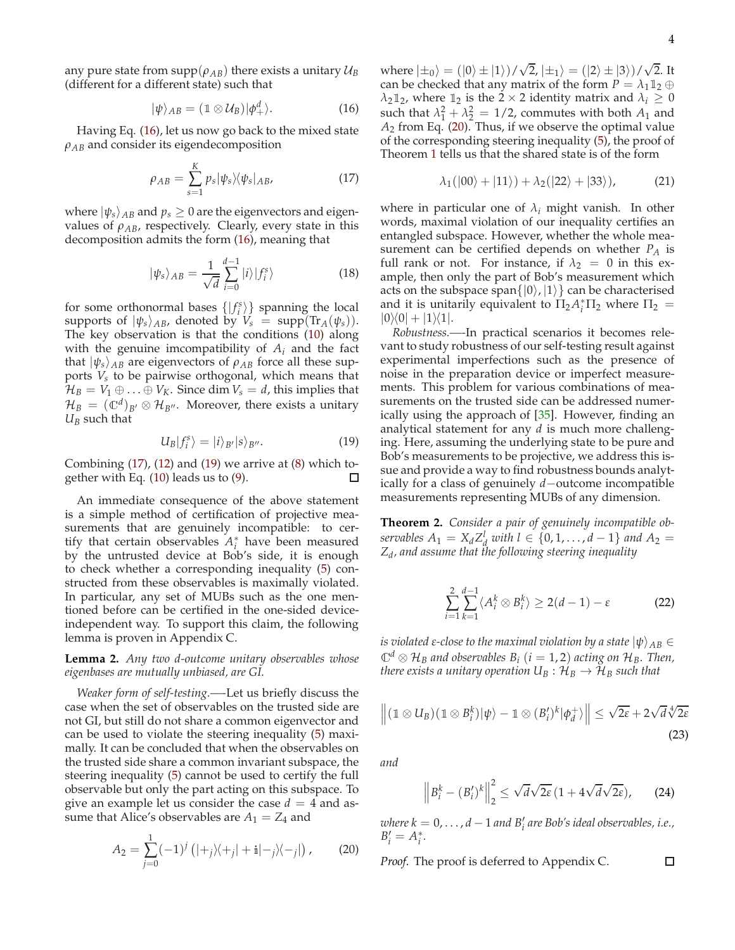any pure state from  $\text{supp}(\rho_{AB})$  there exists a unitary  $\mathcal{U}_B$ (different for a different state) such that

<span id="page-3-0"></span>
$$
|\psi\rangle_{AB}=(1\otimes\mathcal{U}_B)|\phi_+^d\rangle.\tag{16}
$$

Having Eq. [\(16\)](#page-3-0), let us now go back to the mixed state *ρAB* and consider its eigendecomposition

<span id="page-3-1"></span>
$$
\rho_{AB} = \sum_{s=1}^{K} p_s |\psi_s\rangle\langle\psi_s|_{AB},\tag{17}
$$

where  $|\psi_s\rangle_{AB}$  and  $p_s \geq 0$  are the eigenvectors and eigenvalues of  $\rho_{AB}$ , respectively. Clearly, every state in this decomposition admits the form [\(16\)](#page-3-0), meaning that

$$
|\psi_s\rangle_{AB} = \frac{1}{\sqrt{d}} \sum_{i=0}^{d-1} |i\rangle |f_i^s\rangle
$$
 (18)

for some orthonormal bases  $\{ |f_i^s\rangle \}$  spanning the local supports of  $|\psi_s\rangle_{AB}$ , denoted by  $V_s = \text{supp}(\text{Tr}_A(\psi_s)).$ The key observation is that the conditions [\(10\)](#page-2-2) along with the genuine imcompatibility of *A<sup>i</sup>* and the fact that  $|\psi_s\rangle_{AB}$  are eigenvectors of  $\rho_{AB}$  force all these supports *V<sup>s</sup>* to be pairwise orthogonal, which means that  $\mathcal{H}_B = V_1 \oplus \ldots \oplus V_K$ . Since dim  $V_s = d$ , this implies that  $\mathcal{H}_B = (\mathbb{C}^d)_{B'} \otimes \mathcal{H}_{B''}$ . Moreover, there exists a unitary  $U_B$  such that

<span id="page-3-2"></span>
$$
U_B|f_i^s\rangle = |i\rangle_{B'}|s\rangle_{B''}.
$$
 (19)

Combining  $(17)$ ,  $(12)$  and  $(19)$  we arrive at  $(8)$  which together with Eq. [\(10\)](#page-2-2) leads us to [\(9\)](#page-2-5). □

An immediate consequence of the above statement is a simple method of certification of projective measurements that are genuinely incompatible: to certify that certain observables *A* ∗ *i* have been measured by the untrusted device at Bob's side, it is enough to check whether a corresponding inequality [\(5\)](#page-1-1) constructed from these observables is maximally violated. In particular, any set of MUBs such as the one mentioned before can be certified in the one-sided deviceindependent way. To support this claim, the following lemma is proven in Appendix C.

**Lemma 2.** *Any two d-outcome unitary observables whose eigenbases are mutually unbiased, are GI.*

*Weaker form of self-testing.—-*Let us briefly discuss the case when the set of observables on the trusted side are not GI, but still do not share a common eigenvector and can be used to violate the steering inequality [\(5\)](#page-1-1) maximally. It can be concluded that when the observables on the trusted side share a common invariant subspace, the steering inequality [\(5\)](#page-1-1) cannot be used to certify the full observable but only the part acting on this subspace. To give an example let us consider the case  $d = 4$  and assume that Alice's observables are  $A_1 = Z_4$  and

<span id="page-3-3"></span>
$$
A_2 = \sum_{j=0}^{1} (-1)^j (|+j\rangle\langle +j| + \mathbf{i}| - j\rangle\langle -j|), \qquad (20)
$$

where  $|\pm_0\rangle = (|0\rangle \pm |1\rangle)/\sqrt{2}$ ,  $|\pm_1\rangle = (|2\rangle \pm |3\rangle)/\sqrt{2}$ . It can be checked that any matrix of the form  $P = \lambda_1 \mathbb{1}_2 \oplus$ *λ*<sub>2</sub> $\mathbb{1}_2$ , where  $\mathbb{1}_2$  is the 2 × 2 identity matrix and  $\lambda_i \geq 0$ such that  $\lambda_1^2 + \lambda_2^2 = 1/2$ , commutes with both  $A_1$  and *A*<sup>2</sup> from Eq. [\(20\)](#page-3-3). Thus, if we observe the optimal value of the corresponding steering inequality [\(5\)](#page-1-1), the proof of Theorem [1](#page-8-0) tells us that the shared state is of the form

$$
\lambda_1(|00\rangle+|11\rangle)+\lambda_2(|22\rangle+|33\rangle), \qquad (21)
$$

where in particular one of  $\lambda_i$  might vanish. In other words, maximal violation of our inequality certifies an entangled subspace. However, whether the whole measurement can be certified depends on whether *P<sup>A</sup>* is full rank or not. For instance, if  $\lambda_2 = 0$  in this example, then only the part of Bob's measurement which acts on the subspace span $\{|0\rangle, |1\rangle\}$  can be characterised and it is unitarily equivalent to  $\Pi_2 A_i^* \Pi_2$  where  $\Pi_2 =$  $|0\rangle\langle 0| + |1\rangle\langle 1|.$ 

*Robustness.—-*In practical scenarios it becomes relevant to study robustness of our self-testing result against experimental imperfections such as the presence of noise in the preparation device or imperfect measurements. This problem for various combinations of measurements on the trusted side can be addressed numerically using the approach of [\[35\]](#page-4-24). However, finding an analytical statement for any *d* is much more challenging. Here, assuming the underlying state to be pure and Bob's measurements to be projective, we address this issue and provide a way to find robustness bounds analytically for a class of genuinely *d*−outcome incompatible measurements representing MUBs of any dimension.

**Theorem 2.** *Consider a pair of genuinely incompatible ob-* $\frac{1}{2}$  *servables*  $A_1 = X_d Z_d^l$  *with*  $l \in \{0, 1, ..., d - 1\}$  *and*  $A_2 = I$ *Zd , and assume that the following steering inequality*

$$
\sum_{i=1}^{2} \sum_{k=1}^{d-1} \langle A_i^k \otimes B_i^k \rangle \ge 2(d-1) - \varepsilon
$$
 (22)

*is violated ε*-close to the maximal violation by a state  $|\psi\rangle_{AB} \in$  $\mathbb{C}^d \otimes \mathcal{H}_B$  and observables  $B_i$  (*i* = 1, 2) acting on  $\mathcal{H}_B$ . Then, *there exists a unitary operation*  $U_B: \mathcal{H}_B \to \mathcal{H}_B$  *such that* 

$$
\left\| (1 \otimes U_B)(1 \otimes B_i^k)|\psi\rangle - 1 \otimes (B_i')^k|\phi_d^+\rangle \right\| \leq \sqrt{2\varepsilon} + 2\sqrt{d}\sqrt[4]{2\varepsilon}
$$
\n(23)

*and*

$$
\left\| B_i^k - (B_i')^k \right\|_2^2 \le \sqrt{d} \sqrt{2\varepsilon} \left( 1 + 4\sqrt{d} \sqrt{2\varepsilon} \right), \qquad (24)
$$

*where k* = 0, . . . , *d* − 1 *and B*′ *i are Bob's ideal observables, i.e.,*  $B'_{i} = A_{i}^{*}$ .

*Proof.* The proof is deferred to Appendix C.

 $\Box$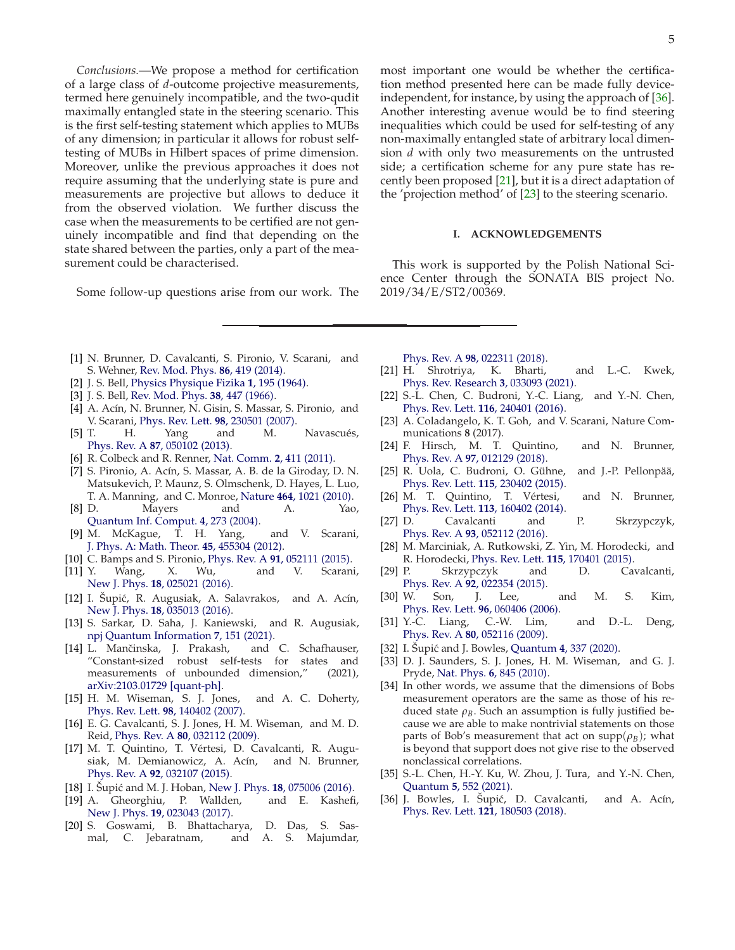*Conclusions.—*We propose a method for certification of a large class of *d*-outcome projective measurements, termed here genuinely incompatible, and the two-qudit maximally entangled state in the steering scenario. This is the first self-testing statement which applies to MUBs of any dimension; in particular it allows for robust selftesting of MUBs in Hilbert spaces of prime dimension. Moreover, unlike the previous approaches it does not require assuming that the underlying state is pure and measurements are projective but allows to deduce it from the observed violation. We further discuss the case when the measurements to be certified are not genuinely incompatible and find that depending on the state shared between the parties, only a part of the measurement could be characterised.

Some follow-up questions arise from our work. The

most important one would be whether the certification method presented here can be made fully deviceindependent, for instance, by using the approach of [\[36](#page-4-25)]. Another interesting avenue would be to find steering inequalities which could be used for self-testing of any non-maximally entangled state of arbitrary local dimension *d* with only two measurements on the untrusted side; a certification scheme for any pure state has recently been proposed [\[21](#page-4-26)], but it is a direct adaptation of the 'projection method' of [\[23\]](#page-4-13) to the steering scenario.

### **I. ACKNOWLEDGEMENTS**

This work is supported by the Polish National Science Center through the SONATA BIS project No. 2019/34/E/ST2/00369.

- <span id="page-4-0"></span>[1] N. Brunner, D. Cavalcanti, S. Pironio, V. Scarani, and S. Wehner, [Rev. Mod. Phys.](http://dx.doi.org/ 10.1103/RevModPhys.86.419) **86**, 419 (2014).
- <span id="page-4-1"></span>[2] J. S. Bell, [Physics Physique Fizika](http://dx.doi.org/10.1103/PhysicsPhysiqueFizika.1.195) **1**, 195 (1964).
- <span id="page-4-2"></span>[3] J. S. Bell, [Rev. Mod. Phys.](http://dx.doi.org/10.1103/RevModPhys.38.447) **38**, 447 (1966).
- <span id="page-4-3"></span>[4] A. Acín, N. Brunner, N. Gisin, S. Massar, S. Pironio, and V. Scarani, [Phys. Rev. Lett.](http://dx.doi.org/ 10.1103/PhysRevLett.98.230501) **98**, 230501 (2007).
- <span id="page-4-4"></span>[5] T. H. Yang and M. Navascués, Phys. Rev. A **87**[, 050102 \(2013\).](http://dx.doi.org/10.1103/PhysRevA.87.050102)
- [6] R. Colbeck and R. Renner, [Nat. Comm.](http://dx.doi.org/10.1038/ncomms1416) **2**, 411 (2011).
- <span id="page-4-5"></span>[7] S. Pironio, A. Acín, S. Massar, A. B. de la Giroday, D. N. Matsukevich, P. Maunz, S. Olmschenk, D. Hayes, L. Luo, T. A. Manning, and C. Monroe, Nature **464**[, 1021 \(2010\).](http://dx.doi.org/10.1038/nature09008)
- <span id="page-4-6"></span>[8] D. Mayers and A. Yao, [Quantum Inf. Comput.](http://dx.doi.org/doi.org/10.26421/QIC4.4) **4**, 273 (2004).
- <span id="page-4-7"></span>[9] M. McKague, T. H. Yang, and V. Scarani, [J. Phys. A: Math. Theor.](http://dx.doi.org/10.1088/1751-8113/45/45/455304) **45**, 455304 (2012).
- [10] C. Bamps and S. Pironio, Phys. Rev. A **91**[, 052111 \(2015\).](http://dx.doi.org/10.1103/PhysRevA.91.052111)
- [11] Y. Wang, X. Wu, and V. Scarani, New J. Phys. **18**[, 025021 \(2016\).](http://dx.doi.org/10.1088/1367-2630/18/2/025021)
- [12] I. Šupić, R. Augusiak, A. Salavrakos, and A. Acín, New J. Phys. **18**[, 035013 \(2016\).](http://dx.doi.org/10.1088/1367-2630/18/3/035013)
- [13] S. Sarkar, D. Saha, J. Kaniewski, and R. Augusiak, [npj Quantum Information](http://dx.doi.org/10.1038/s41534-021-00490-3) **7**, 151 (2021).
- <span id="page-4-8"></span>[14] L. Mančinska, J. Prakash, and C. Schafhauser, "Constant-sized robust self-tests for states and measurements of unbounded dimension," (2021), [arXiv:2103.01729 \[quant-ph\].](http://arxiv.org/abs/2103.01729)
- <span id="page-4-9"></span>[15] H. M. Wiseman, S. J. Jones, and A. C. Doherty, [Phys. Rev. Lett.](http://dx.doi.org/10.1103/PhysRevLett.98.140402) **98**, 140402 (2007).
- [16] E. G. Cavalcanti, S. J. Jones, H. M. Wiseman, and M. D. Reid, Phys. Rev. A **80**[, 032112 \(2009\).](http://dx.doi.org/10.1103/PhysRevA.80.032112)
- <span id="page-4-10"></span>[17] M. T. Quintino, T. Vértesi, D. Cavalcanti, R. Augusiak, M. Demianowicz, A. Acín, and N. Brunner, Phys. Rev. A **92**[, 032107 \(2015\).](http://dx.doi.org/ 10.1103/PhysRevA.92.032107)
- <span id="page-4-11"></span>[18] I. Supić and M. J. Hoban, New J. Phys. **18**[, 075006 \(2016\).](http://dx.doi.org/10.1088/1367-2630/18/7/075006)
- [19] A. Gheorghiu, P. Wallden, and E. Kashefi, New J. Phys. **19**[, 023043 \(2017\).](http://dx.doi.org/10.1088/1367-2630/aa5cff)
- [20] S. Goswami, B. Bhattacharya, D. Das, S. Sasmal, C. Jebaratnam, and A. S. Majumdar,

Phys. Rev. A **98**[, 022311 \(2018\).](http://dx.doi.org/ 10.1103/PhysRevA.98.022311)

- <span id="page-4-26"></span>[21] H. Shrotriya, K. Bharti, and L.-C. Kwek, [Phys. Rev. Research](http://dx.doi.org/10.1103/PhysRevResearch.3.033093) **3**, 033093 (2021).
- <span id="page-4-12"></span>[22] S.-L. Chen, C. Budroni, Y.-C. Liang, and Y.-N. Chen, [Phys. Rev. Lett.](http://dx.doi.org/10.1103/PhysRevLett.116.240401) **116**, 240401 (2016).
- <span id="page-4-13"></span>[23] A. Coladangelo, K. T. Goh, and V. Scarani, Nature Communications **8** (2017).
- <span id="page-4-14"></span>[24] F. Hirsch, M. T. Quintino, and N. Brunner, Phys. Rev. A **97**[, 012129 \(2018\).](http://dx.doi.org/10.1103/PhysRevA.97.012129)
- <span id="page-4-15"></span>[25] R. Uola, C. Budroni, O. Gühne, and J.-P. Pellonpää, [Phys. Rev. Lett.](http://dx.doi.org/10.1103/PhysRevLett.115.230402) **115**, 230402 (2015).
- [26] M. T. Quintino, T. Vértesi, and N. Brunner, [Phys. Rev. Lett.](http://dx.doi.org/10.1103/PhysRevLett.113.160402) **113**, 160402 (2014).
- <span id="page-4-16"></span>[27] D. Cavalcanti and P. Skrzypczyk, Phys. Rev. A **93**[, 052112 \(2016\).](http://dx.doi.org/10.1103/PhysRevA.93.052112)
- <span id="page-4-17"></span>[28] M. Marciniak, A. Rutkowski, Z. Yin, M. Horodecki, and R. Horodecki, [Phys. Rev. Lett.](http://dx.doi.org/10.1103/PhysRevLett.115.170401) **115**, 170401 (2015).
- <span id="page-4-18"></span>[29] P. Skrzypczyk and D. Cavalcanti, Phys. Rev. A **92**[, 022354 \(2015\).](http://dx.doi.org/10.1103/PhysRevA.92.022354)
- <span id="page-4-19"></span>[30] W. Son, J. Lee, and M. S. Kim, [Phys. Rev. Lett.](http://dx.doi.org/10.1103/PhysRevLett.96.060406) **96**, 060406 (2006).
- <span id="page-4-20"></span>[31] Y.-C. Liang, C.-W. Lim, and D.-L. Deng, Phys. Rev. A **80**[, 052116 \(2009\).](http://dx.doi.org/10.1103/PhysRevA.80.052116)
- <span id="page-4-21"></span>[32] I. Supić and J. Bowles, Quantum **4**[, 337 \(2020\).](http://dx.doi.org/10.22331/q-2020-09-30-337)
- <span id="page-4-22"></span>[33] D. J. Saunders, S. J. Jones, H. M. Wiseman, and G. J. Pryde, Nat. Phys. **6**[, 845 \(2010\).](http://dx.doi.org/10.22331/q-2020-09-30-337)
- <span id="page-4-23"></span>[34] In other words, we assume that the dimensions of Bobs measurement operators are the same as those of his reduced state  $\rho_B$ . Such an assumption is fully justified because we are able to make nontrivial statements on those parts of Bob's measurement that act on  $supp(\rho_B)$ ; what is beyond that support does not give rise to the observed nonclassical correlations.
- <span id="page-4-24"></span>[35] S.-L. Chen, H.-Y. Ku, W. Zhou, J. Tura, and Y.-N. Chen, Quantum **5**[, 552 \(2021\).](http://dx.doi.org/ 10.22331/q-2021-09-28-552)
- <span id="page-4-25"></span>[36] J. Bowles, I. Šupić, D. Cavalcanti, and A. Acín, [Phys. Rev. Lett.](http://dx.doi.org/ 10.1103/PhysRevLett.121.180503) **121**, 180503 (2018).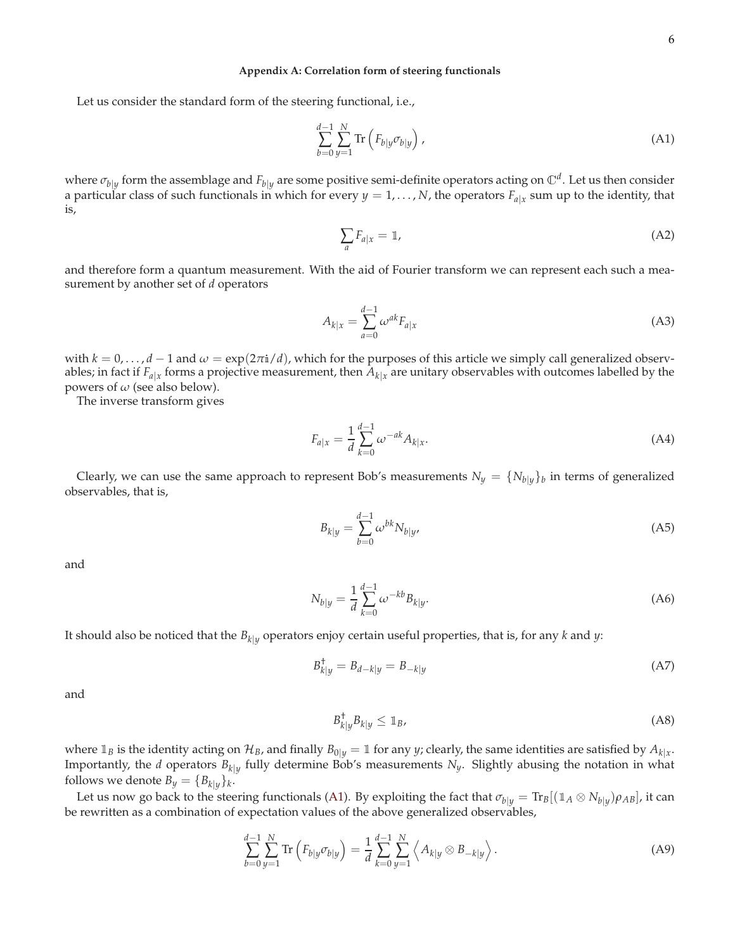### <span id="page-5-4"></span>**Appendix A: Correlation form of steering functionals**

Let us consider the standard form of the steering functional, i.e.,

<span id="page-5-0"></span>
$$
\sum_{b=0}^{d-1} \sum_{y=1}^{N} \text{Tr}\left(F_{b|y} \sigma_{b|y}\right),\tag{A1}
$$

where  $\sigma_{b|y}$  form the assemblage and  $F_{b|y}$  are some positive semi-definite operators acting on  $\mathbb{C}^d$ . Let us then consider a particular class of such functionals in which for every  $y = 1, \ldots, N$ , the operators  $F_{a|x}$  sum up to the identity, that is,

$$
\sum_{a} F_{a|x} = \mathbb{1},\tag{A2}
$$

and therefore form a quantum measurement. With the aid of Fourier transform we can represent each such a measurement by another set of *d* operators

<span id="page-5-3"></span>
$$
A_{k|x} = \sum_{a=0}^{d-1} \omega^{ak} F_{a|x}
$$
 (A3)

with  $k = 0, \ldots, d - 1$  and  $\omega = \exp(2\pi i/d)$ , which for the purposes of this article we simply call generalized observables; in fact if  $F_{a|x}$  forms a projective measurement, then  $A_{k|x}$  are unitary observables with outcomes labelled by the powers of *ω* (see also below).

The inverse transform gives

$$
F_{a|x} = \frac{1}{d} \sum_{k=0}^{d-1} \omega^{-ak} A_{k|x}.
$$
 (A4)

Clearly, we can use the same approach to represent Bob's measurements  $N_y = \{N_{b|y}\}_b$  in terms of generalized observables, that is,

$$
B_{k|y} = \sum_{b=0}^{d-1} \omega^{bk} N_{b|y},
$$
 (A5)

and

<span id="page-5-5"></span>
$$
N_{b|y} = \frac{1}{d} \sum_{k=0}^{d-1} \omega^{-kb} B_{k|y}.
$$
 (A6)

It should also be noticed that the *<sup>B</sup>k*|*<sup>y</sup>* operators enjoy certain useful properties, that is, for any *<sup>k</sup>* and *<sup>y</sup>*:

$$
B_{k|y}^{\dagger} = B_{d-k|y} = B_{-k|y}
$$
 (A7)

and

<span id="page-5-1"></span>
$$
B_{k|y}^{\dagger} B_{k|y} \leq \mathbb{1}_B,\tag{A8}
$$

where  $\mathbb{1}_B$  is the identity acting on  $\mathcal{H}_B$ , and finally  $B_{0|y} = \mathbb{1}$  for any *y*; clearly, the same identities are satisfied by  $A_{k|x}$ . Importantly, the *d* operators  $B_{k|y}$  fully determine Bob's measurements  $N_y$ . Slightly abusing the notation in what follows we denote  $B_y = \{B_{k|y}\}_k$ .

Let us now go back to the steering functionals [\(A1\)](#page-5-0). By exploiting the fact that  $\sigma_{b|y} = \text{Tr}_B[(1_A \otimes N_{b|y})\rho_{AB}]$ , it can be rewritten as a combination of expectation values of the above generalized observables,

<span id="page-5-2"></span>
$$
\sum_{b=0}^{d-1} \sum_{y=1}^{N} \text{Tr} \left( F_{b|y} \sigma_{b|y} \right) = \frac{1}{d} \sum_{k=0}^{d-1} \sum_{y=1}^{N} \left\langle A_{k|y} \otimes B_{-k|y} \right\rangle.
$$
 (A9)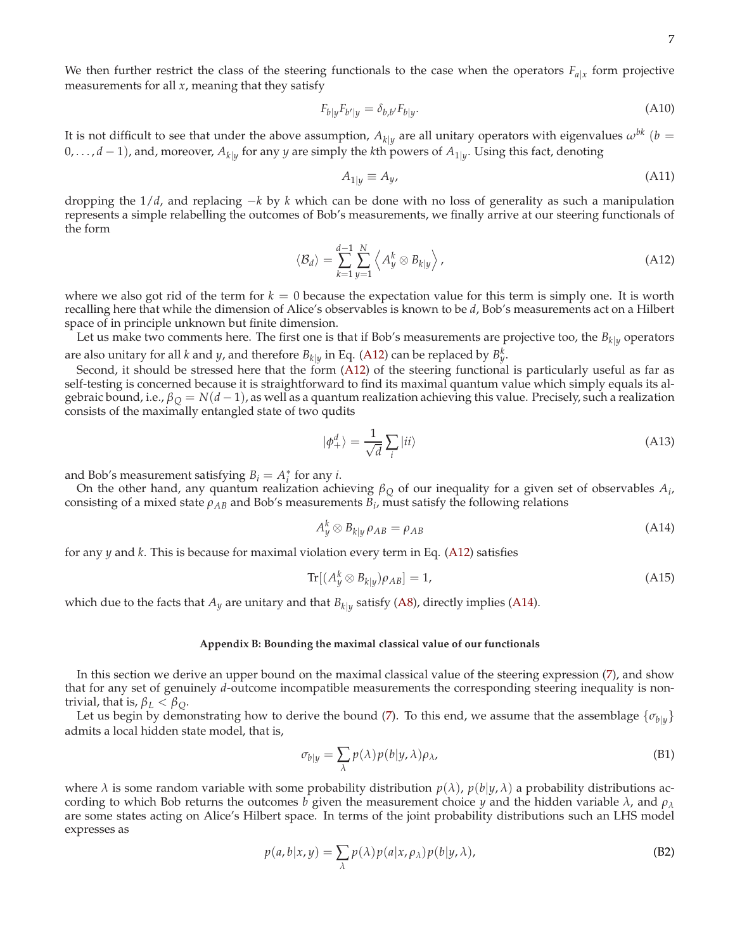We then further restrict the class of the steering functionals to the case when the operators  $F_{a|x}$  form projective measurements for all *x*, meaning that they satisfy

$$
F_{b|y}F_{b'|y} = \delta_{b,b'}F_{b|y}.
$$
\n(A10)

It is not difficult to see that under the above assumption,  $A_{k|y}$  are all unitary operators with eigenvalues  $\omega^{bk}$  (*b* = 0, . . . , *<sup>d</sup>* − <sup>1</sup>), and, moreover, *<sup>A</sup>k*|*<sup>y</sup>* for any *<sup>y</sup>* are simply the *<sup>k</sup>*th powers of *<sup>A</sup>*1|*<sup>y</sup>* . Using this fact, denoting

$$
A_{1|y} \equiv A_y,\tag{A11}
$$

dropping the 1/*d*, and replacing −*k* by *k* which can be done with no loss of generality as such a manipulation represents a simple relabelling the outcomes of Bob's measurements, we finally arrive at our steering functionals of the form

<span id="page-6-0"></span>
$$
\langle \mathcal{B}_d \rangle = \sum_{k=1}^{d-1} \sum_{y=1}^N \left\langle A_y^k \otimes B_{k|y} \right\rangle, \tag{A12}
$$

where we also got rid of the term for  $k = 0$  because the expectation value for this term is simply one. It is worth recalling here that while the dimension of Alice's observables is known to be *d*, Bob's measurements act on a Hilbert space of in principle unknown but finite dimension.

Let us make two comments here. The first one is that if Bob's measurements are projective too, the  $B_{k|y}$  operators are also unitary for all *k* and *y*, and therefore  $B_{k|y}$  in Eq. [\(A12\)](#page-6-0) can be replaced by  $B_y^k$ .

Second, it should be stressed here that the form [\(A12\)](#page-6-0) of the steering functional is particularly useful as far as self-testing is concerned because it is straightforward to find its maximal quantum value which simply equals its algebraic bound, i.e.,  $\beta_Q = N(d-1)$ , as well as a quantum realization achieving this value. Precisely, such a realization consists of the maximally entangled state of two qudits

<span id="page-6-2"></span>
$$
|\phi_{+}^{d}\rangle = \frac{1}{\sqrt{d}}\sum_{i}|ii\rangle
$$
 (A13)

and Bob's measurement satisfying  $B_i = A_i^*$  for any *i*.

On the other hand, any quantum realization achieving  $\beta_Q$  of our inequality for a given set of observables  $A_i$ , consisting of a mixed state  $\rho_{AB}$  and Bob's measurements  $B_i$ , must satisfy the following relations

<span id="page-6-1"></span>
$$
A_y^k \otimes B_{k|y} \rho_{AB} = \rho_{AB} \tag{A14}
$$

for any *y* and *k*. This is because for maximal violation every term in Eq. [\(A12\)](#page-6-0) satisfies

$$
\operatorname{Tr}[(A_y^k \otimes B_{k|y})\rho_{AB}] = 1, \tag{A15}
$$

which due to the facts that  $A_y$  are unitary and that  $B_{k|y}$  satisfy [\(A8\)](#page-5-1), directly implies [\(A14\)](#page-6-1).

# **Appendix B: Bounding the maximal classical value of our functionals**

In this section we derive an upper bound on the maximal classical value of the steering expression [\(7\)](#page-1-3), and show that for any set of genuinely *d*-outcome incompatible measurements the corresponding steering inequality is nontrivial, that is,  $\beta_L < \beta_O$ .

Let us begin by demonstrating how to derive the bound [\(7\)](#page-1-3). To this end, we assume that the assemblage  $\{\sigma_{b|y}\}$ admits a local hidden state model, that is,

$$
\sigma_{b|y} = \sum_{\lambda} p(\lambda) p(b|y, \lambda) \rho_{\lambda}, \tag{B1}
$$

where  $\lambda$  is some random variable with some probability distribution  $p(\lambda)$ ,  $p(b|y, \lambda)$  a probability distributions according to which Bob returns the outcomes *b* given the measurement choice *y* and the hidden variable *λ*, and *ρ<sup>λ</sup>* are some states acting on Alice's Hilbert space. In terms of the joint probability distributions such an LHS model expresses as

$$
p(a,b|x,y) = \sum_{\lambda} p(\lambda) p(a|x,\rho_{\lambda}) p(b|y,\lambda),
$$
 (B2)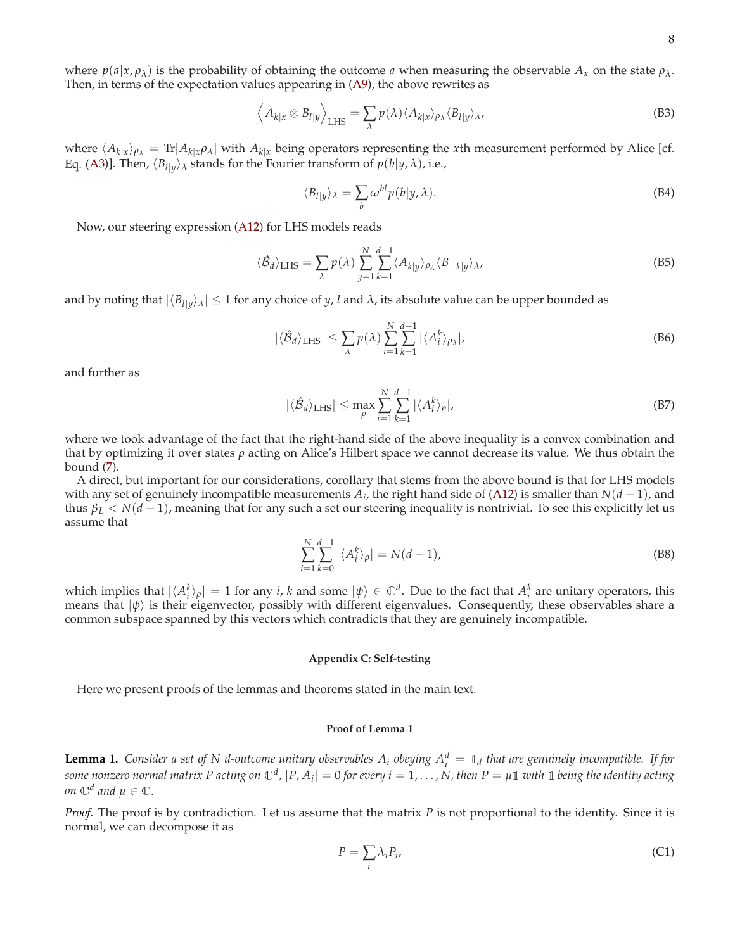where  $p(a|x, \rho_\lambda)$  is the probability of obtaining the outcome *a* when measuring the observable  $A_x$  on the state  $\rho_\lambda$ . Then, in terms of the expectation values appearing in [\(A9\)](#page-5-2), the above rewrites as

$$
\left\langle A_{k|x} \otimes B_{l|y} \right\rangle_{\text{LHS}} = \sum_{\lambda} p(\lambda) \langle A_{k|x} \rangle_{\rho_{\lambda}} \langle B_{l|y} \rangle_{\lambda},\tag{B3}
$$

where  $\langle A_{k|x}\rangle_{\rho_{\lambda}} = \text{Tr}[A_{k|x}\rho_{\lambda}]$  with  $A_{k|x}$  being operators representing the *x*th measurement performed by Alice [cf. Eq. [\(A3\)](#page-5-3)]. Then,  $\langle B_{l}|y\rangle$ <sub> $\lambda$ </sub> stands for the Fourier transform of  $p(b|y, \lambda)$ , i.e.,

$$
\langle B_{l|y} \rangle_{\lambda} = \sum_{b} \omega^{bl} p(b|y, \lambda). \tag{B4}
$$

Now, our steering expression [\(A12\)](#page-6-0) for LHS models reads

$$
\langle \hat{\mathcal{B}}_d \rangle_{\text{LHS}} = \sum_{\lambda} p(\lambda) \sum_{y=1}^N \sum_{k=1}^{d-1} \langle A_{k|y} \rangle_{\rho_\lambda} \langle B_{-k|y} \rangle_{\lambda},\tag{B5}
$$

and by noting that  $|\langle B_{l}|y\rangle_{\lambda}|\leq 1$  for any choice of *y, l* and  $\lambda$ , its absolute value can be upper bounded as

$$
|\langle \hat{\mathcal{B}}_d \rangle_{\text{LHS}}| \leq \sum_{\lambda} p(\lambda) \sum_{i=1}^N \sum_{k=1}^{d-1} |\langle A_i^k \rangle_{\rho_{\lambda}}|, \tag{B6}
$$

and further as

$$
|\langle \hat{\mathcal{B}}_d \rangle_{\text{LHS}}| \le \max_{\rho} \sum_{i=1}^N \sum_{k=1}^{d-1} |\langle A_i^k \rangle_{\rho}|, \tag{B7}
$$

where we took advantage of the fact that the right-hand side of the above inequality is a convex combination and that by optimizing it over states *ρ* acting on Alice's Hilbert space we cannot decrease its value. We thus obtain the bound [\(7\)](#page-1-3).

A direct, but important for our considerations, corollary that stems from the above bound is that for LHS models with any set of genuinely incompatible measurements  $A_i$ , the right hand side of [\(A12\)](#page-6-0) is smaller than  $N(d-1)$ , and thus  $\beta_L < N(d-1)$ , meaning that for any such a set our steering inequality is nontrivial. To see this explicitly let us assume that

$$
\sum_{i=1}^{N} \sum_{k=0}^{d-1} |\langle A_i^k \rangle_{\rho}| = N(d-1),
$$
\n(B8)

which implies that  $|\langle A_i^k \rangle_{\rho}| = 1$  for any *i*, *k* and some  $|\psi\rangle \in \mathbb{C}^d$ . Due to the fact that  $A_i^k$  are unitary operators, this means that  $|\psi\rangle$  is their eigenvector, possibly with different eigenvalues. Consequently, these observables share a common subspace spanned by this vectors which contradicts that they are genuinely incompatible.

# **Appendix C: Self-testing**

Here we present proofs of the lemmas and theorems stated in the main text.

### **Proof of Lemma 1**

<span id="page-7-0"></span>**Lemma 1.** Consider a set of N d-outcome unitary observables  $A_i$  obeying  $A_i^d = \mathbb{1}_d$  that are genuinely incompatible. If for some nonzero normal matrix P acting on  $\mathbb{C}^d$ ,  $[P,A_i]=0$  for every  $i=1,\ldots,N$ , then  $P=\mu\mathbb{1}$  with  $\mathbb{1}$  being the identity acting *on*  $\mathbb{C}^d$  and  $\mu \in \mathbb{C}$ *.* 

*Proof.* The proof is by contradiction. Let us assume that the matrix *P* is not proportional to the identity. Since it is normal, we can decompose it as

$$
P = \sum_{i} \lambda_i P_{i}, \tag{C1}
$$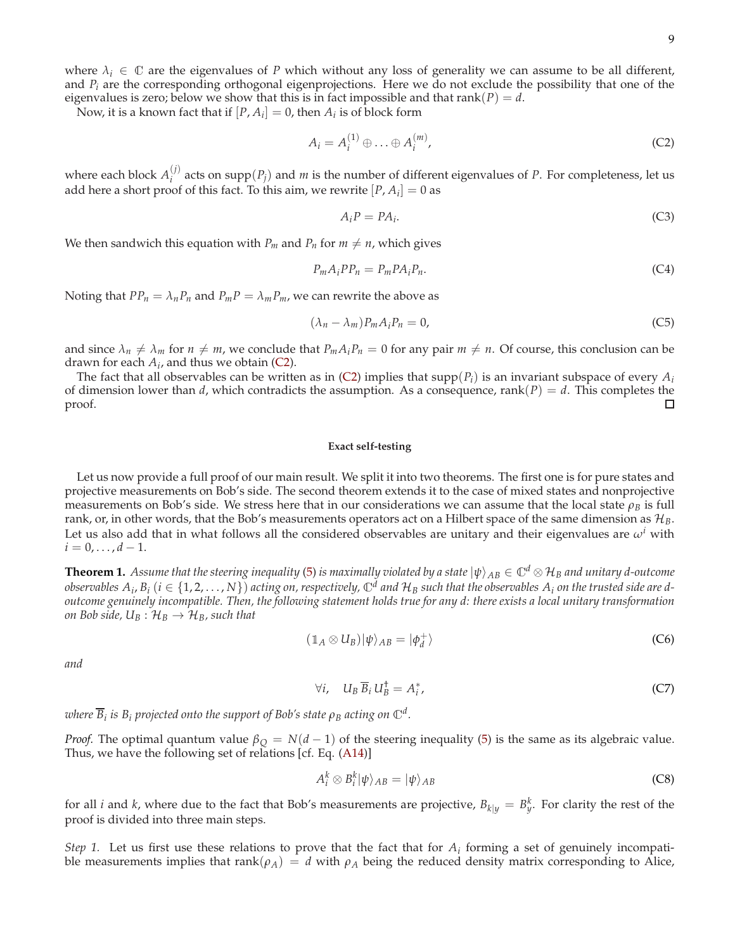where  $\lambda_i \in \mathbb{C}$  are the eigenvalues of *P* which without any loss of generality we can assume to be all different, and *P<sup>i</sup>* are the corresponding orthogonal eigenprojections. Here we do not exclude the possibility that one of the eigenvalues is zero; below we show that this is in fact impossible and that  $rank(P) = d$ .

Now, it is a known fact that if  $[P, A_i] = 0$ , then  $A_i$  is of block form

<span id="page-8-1"></span>
$$
A_i = A_i^{(1)} \oplus \ldots \oplus A_i^{(m)}, \tag{C2}
$$

where each block  $A_i^{(j)}$  $i$ <sup>(*i*</sup>) acts on supp $(P_j)$  and *m* is the number of different eigenvalues of *P*. For completeness, let us add here a short proof of this fact. To this aim, we rewrite  $[P, A_i] = 0$  as

$$
A_i P = P A_i. \tag{C3}
$$

We then sandwich this equation with  $P_m$  and  $P_n$  for  $m \neq n$ , which gives

$$
P_m A_i P P_n = P_m P A_i P_n. \tag{C4}
$$

Noting that  $PP_n = \lambda_n P_n$  and  $P_m P = \lambda_m P_m$ , we can rewrite the above as

$$
(\lambda_n - \lambda_m) P_m A_i P_n = 0, \tag{C5}
$$

and since  $\lambda_n \neq \lambda_m$  for  $n \neq m$ , we conclude that  $P_m A_i P_n = 0$  for any pair  $m \neq n$ . Of course, this conclusion can be drawn for each  $A_i$ , and thus we obtain [\(C2\)](#page-8-1).

The fact that all observables can be written as in [\(C2\)](#page-8-1) implies that  $supp(P_i)$  is an invariant subspace of every  $A_i$ of dimension lower than *d*, which contradicts the assumption. As a consequence, rank( $P$ ) = *d*. This completes the proof.  $\Box$ 

# **Exact self-testing**

Let us now provide a full proof of our main result. We split it into two theorems. The first one is for pure states and projective measurements on Bob's side. The second theorem extends it to the case of mixed states and nonprojective measurements on Bob's side. We stress here that in our considerations we can assume that the local state  $\rho_B$  is full rank, or, in other words, that the Bob's measurements operators act on a Hilbert space of the same dimension as H*B*. Let us also add that in what follows all the considered observables are unitary and their eigenvalues are  $\omega^i$  with  $i = 0, \ldots, d - 1.$ 

<span id="page-8-0"></span>**Theorem 1.** Assume that the steering inequality [\(5\)](#page-1-1) is maximally violated by a state  $|\psi\rangle_{AB} \in \mathbb{C}^d \otimes \mathcal{H}_B$  and unitary d-outcome observables  $A_i$ ,  $B_i$   $(i \in \{1,2,\ldots,N\})$  acting on, respectively,  $\mathbb{C}^d$  and  $\mathcal{H}_B$  such that the observables  $A_i$  on the trusted side are d*outcome genuinely incompatible. Then, the following statement holds true for any d: there exists a local unitary transformation on Bob side,*  $U_B: \mathcal{H}_B \rightarrow \mathcal{H}_B$ *, such that* 

<span id="page-8-3"></span>
$$
(\mathbb{1}_A \otimes U_B)|\psi\rangle_{AB} = |\phi_d^+\rangle \tag{C6}
$$

*and*

<span id="page-8-4"></span>
$$
\forall i, \quad U_B \, \overline{B}_i \, U_B^{\dagger} = A_i^*, \tag{C7}
$$

 $\varphi$  *where*  $\overline{B}_i$  *is*  $B_i$  *projected onto the support of Bob's state*  $\rho_B$  *acting on*  $\mathbb{C}^d$  *.* 

*Proof.* The optimal quantum value  $\beta_Q = N(d-1)$  of the steering inequality [\(5\)](#page-1-1) is the same as its algebraic value. Thus, we have the following set of relations [cf. Eq. [\(A14\)](#page-6-1)]

<span id="page-8-2"></span>
$$
A_i^k \otimes B_i^k |\psi\rangle_{AB} = |\psi\rangle_{AB} \tag{C8}
$$

for all *i* and *k*, where due to the fact that Bob's measurements are projective,  $B_{k|y} = B_y^k$ . For clarity the rest of the proof is divided into three main steps.

*Step 1.* Let us first use these relations to prove that the fact that for  $A_i$  forming a set of genuinely incompatible measurements implies that rank( $\rho_A$ ) = *d* with  $\rho_A$  being the reduced density matrix corresponding to Alice,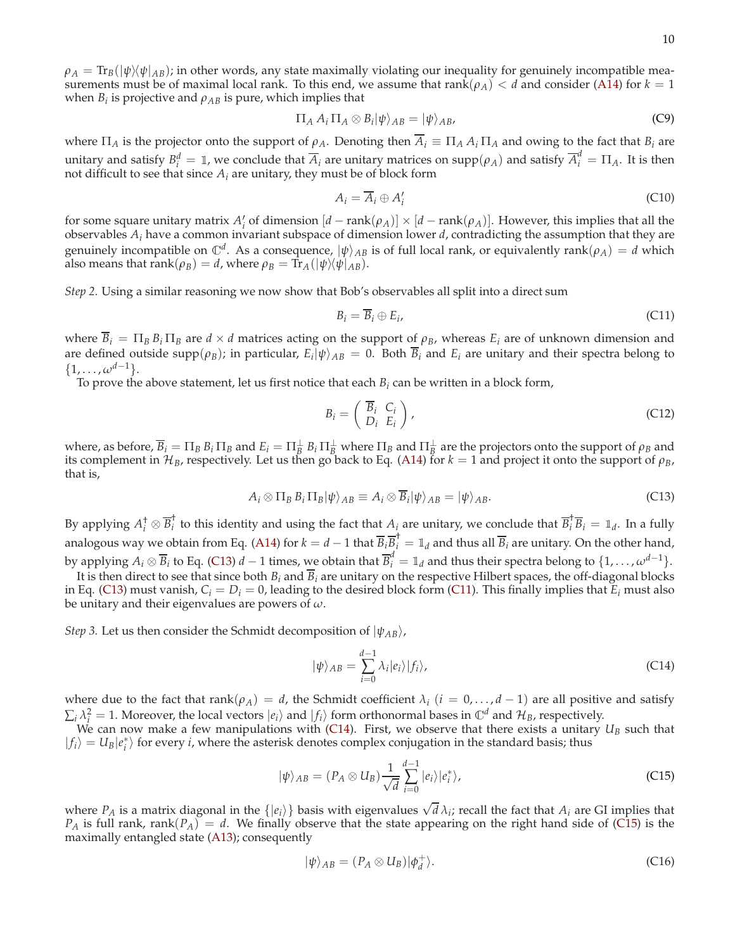$\rho_A = \text{Tr}_B(|\psi\rangle\langle\psi|_{AB})$ ; in other words, any state maximally violating our inequality for genuinely incompatible measurements must be of maximal local rank. To this end, we assume that  $rank(\rho_A) < d$  and consider [\(A14\)](#page-6-1) for  $k = 1$ when  $B_i$  is projective and  $\rho_{AB}$  is pure, which implies that

$$
\Pi_A A_i \Pi_A \otimes B_i |\psi\rangle_{AB} = |\psi\rangle_{AB},\tag{C9}
$$

where  $\Pi_A$  is the projector onto the support of  $\rho_A$ . Denoting then  $\overline{A}_i \equiv \Pi_A A_i \Pi_A$  and owing to the fact that  $B_i$  are unitary and satisfy  $B_i^d = \mathbb{I}$ , we conclude that  $\overline{A}_i$  are unitary matrices on supp $(\rho_A)$  and satisfy  $\overline{A}_i^d = \Pi_A$ . It is then not difficult to see that since  $A_i$  are unitary, they must be of block form

$$
A_i = \overline{A}_i \oplus A'_i \tag{C10}
$$

for some square unitary matrix  $A'_i$  of dimension  $[d - \text{rank}(\rho_A)] \times [d - \text{rank}(\rho_A)]$ . However, this implies that all the observables *A<sup>i</sup>* have a common invariant subspace of dimension lower *d*, contradicting the assumption that they are genuinely incompatible on  $\mathbb{C}^d$ . As a consequence,  $|\psi\rangle_{AB}$  is of full local rank, or equivalently rank( $\rho_A$ ) = *d* which also means that  $rank(\rho_B) = d$ , where  $\rho_B = \text{Tr}_A(|\psi\rangle\langle\psi|_{AB})$ .

*Step 2.* Using a similar reasoning we now show that Bob's observables all split into a direct sum

<span id="page-9-1"></span>
$$
B_i = \overline{B}_i \oplus E_i, \tag{C11}
$$

where  $\overline{B}_i = \Pi_B B_i \Pi_B$  are  $d \times d$  matrices acting on the support of  $\rho_B$ , whereas  $E_i$  are of unknown dimension and are defined outside supp $(\rho_B)$ ; in particular,  $E_i|\psi\rangle_{AB} = 0$ . Both  $B_i$  and  $E_i$  are unitary and their spectra belong to  $\{1,\ldots,\omega^{d-1}\}.$ 

To prove the above statement, let us first notice that each  $B_i$  can be written in a block form,

$$
B_i = \left(\begin{array}{c} \overline{B}_i & C_i \\ D_i & E_i \end{array}\right),\tag{C12}
$$

where, as before,  $\overline{B}_i = \Pi_B B_i \Pi_B$  and  $E_i = \Pi_B^{\perp} B_i \Pi_B^{\perp}$  where  $\Pi_B$  and  $\Pi_B^{\perp}$  are the projectors onto the support of  $\rho_B$  and its complement in  $\mathcal{H}_B$ , respectively. Let us then go back to Eq. [\(A14\)](#page-6-1) for  $k = 1$  and project it onto the support of  $ρ_B$ , that is,

<span id="page-9-0"></span>
$$
A_i \otimes \Pi_B B_i \Pi_B |\psi\rangle_{AB} \equiv A_i \otimes \overline{B}_i |\psi\rangle_{AB} = |\psi\rangle_{AB}.
$$
 (C13)

By applying  $A_i^{\dagger} \otimes \overline{B}_i^{\dagger}$ <sup>†</sup> to this identity and using the fact that  $A_i$  are unitary, we conclude that  $\overline{B}_i^{\dagger} \overline{B}_i = \mathbb{1}_d$ . In a fully analogous way we obtain from Eq. [\(A14\)](#page-6-1) for  $k = d-1$  that  $\overline{B}_i\overline{B}_i^{\dagger} = \mathbb{1}_d$  and thus all  $\overline{B}_i$  are unitary. On the other hand, by applying  $A_i \otimes \overline{B}_i$  to Eq. [\(C13\)](#page-9-0) *d* − 1 times, we obtain that  $\overline{B}_i^d = \mathbb{1}_d$  and thus their spectra belong to  $\{1, \ldots, \omega^{d-1}\}.$ 

It is then direct to see that since both  $B_i$  and  $\overline{B}_i$  are unitary on the respective Hilbert spaces, the off-diagonal blocks in Eq. [\(C13\)](#page-9-0) must vanish,  $C_i = D_i = 0$ , leading to the desired block form [\(C11\)](#page-9-1). This finally implies that  $E_i$  must also be unitary and their eigenvalues are powers of *ω*.

*Step 3.* Let us then consider the Schmidt decomposition of  $|\psi_{AB}\rangle$ ,

<span id="page-9-2"></span>
$$
|\psi\rangle_{AB} = \sum_{i=0}^{d-1} \lambda_i |e_i\rangle |f_i\rangle, \tag{C14}
$$

where due to the fact that  $rank(\rho_A) = d$ , the Schmidt coefficient  $\lambda_i$  ( $i = 0, ..., d-1$ ) are all positive and satisfy  $\sum_i \lambda_i^2 = 1$ . Moreover, the local vectors  $|e_i\rangle$  and  $|f_i\rangle$  form orthonormal bases in  $\mathbb{C}^d$  and  $\mathcal{H}_B$ , respectively.

We can now make a few manipulations with [\(C14\)](#page-9-2). First, we observe that there exists a unitary  $U_B$  such that  $|f_i\rangle = U_B|e_i^*\rangle$  for every *i*, where the asterisk denotes complex conjugation in the standard basis; thus

<span id="page-9-3"></span>
$$
|\psi\rangle_{AB} = (P_A \otimes U_B) \frac{1}{\sqrt{d}} \sum_{i=0}^{d-1} |e_i\rangle |e_i^*\rangle, \tag{C15}
$$

where  $P_A$  is a matrix diagonal in the  $\{|e_i\rangle\}$  basis with eigenvalues  $\sqrt{d}\lambda_i$ ; recall the fact that  $A_i$  are GI implies that  $P_A$  is full rank, rank( $P_A$ ) = *d*. We finally observe that the state appearing on the right hand side of [\(C15\)](#page-9-3) is the maximally entangled state [\(A13\)](#page-6-2); consequently

<span id="page-9-4"></span>
$$
|\psi\rangle_{AB} = (P_A \otimes U_B)|\phi_d^+\rangle. \tag{C16}
$$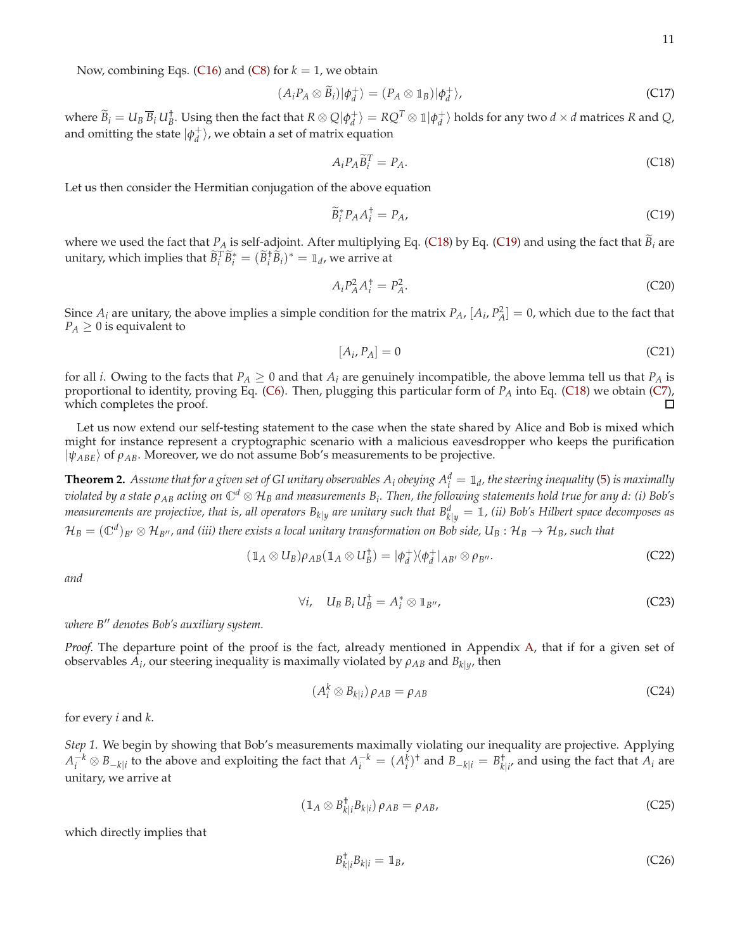Now, combining Eqs. [\(C16\)](#page-9-4) and [\(C8\)](#page-8-2) for  $k = 1$ , we obtain

$$
(A_i P_A \otimes \widetilde{B}_i) |\phi_d^+\rangle = (P_A \otimes \mathbb{1}_B) |\phi_d^+\rangle,\tag{C17}
$$

where  $\widetilde{B}_i=U_B\,\overline{B}_i\,U_B^\dagger$ . Using then the fact that  $R\otimes Q|\phi_d^+\rangle=RQ^T\otimes\mathbb{1}|\phi_d^+\rangle$  holds for any two  $d\times d$  matrices  $R$  and  $Q$ , and omitting the state  $|\phi_d^+\rangle$ , we obtain a set of matrix equation

<span id="page-10-0"></span>
$$
A_i P_A \widetilde{B}_i^T = P_A. \tag{C18}
$$

Let us then consider the Hermitian conjugation of the above equation

<span id="page-10-1"></span>
$$
\widetilde{B}_i^* P_A A_i^\dagger = P_A,\tag{C19}
$$

where we used the fact that  $P_A$  is self-adjoint. After multiplying Eq. [\(C18\)](#page-10-0) by Eq. [\(C19\)](#page-10-1) and using the fact that  $B_i$  are unitary, which implies that  $\widetilde{B}_i^T \widetilde{B}_i^* = (\widetilde{B}_i^{\dagger} \widetilde{B}_i)^* = \mathbb{1}_d$ , we arrive at

$$
A_i P_A^2 A_i^\dagger = P_A^2. \tag{C20}
$$

Since  $A_i$  are unitary, the above implies a simple condition for the matrix  $P_A$ ,  $[A_i, P_A^2] = 0$ , which due to the fact that  $P_A \geq 0$  is equivalent to

$$
[A_i, P_A] = 0 \tag{C21}
$$

for all *i*. Owing to the facts that  $P_A \geq 0$  and that  $A_i$  are genuinely incompatible, the above lemma tell us that  $P_A$  is proportional to identity, proving Eq. [\(C6\)](#page-8-3). Then, plugging this particular form of *P<sup>A</sup>* into Eq. [\(C18\)](#page-10-0) we obtain [\(C7\)](#page-8-4), which completes the proof.

Let us now extend our self-testing statement to the case when the state shared by Alice and Bob is mixed which might for instance represent a cryptographic scenario with a malicious eavesdropper who keeps the purification  $|\psi_{ABE}\rangle$  of  $\rho_{AB}$ . Moreover, we do not assume Bob's measurements to be projective.

 ${\bf Theorem~2.}$  Assume that for a given set of GI unitary observables  $A_i$  obeying  $A_i^d=\mathbb{1}_d$ , the steering inequality [\(5\)](#page-1-1) is maximally *violated by a state <sup>ρ</sup>AB acting on* <sup>C</sup>*<sup>d</sup>* ⊗ H*<sup>B</sup> and measurements B<sup>i</sup> . Then, the following statements hold true for any d: (i) Bob's measurements are projective, that is, all operators Bk*|*<sup>y</sup> are unitary such that B<sup>d</sup> <sup>k</sup>*|*<sup>y</sup>* <sup>=</sup> <sup>1</sup>*, (ii) Bob's Hilbert space decomposes as*  $\mathcal{H}_B=(\mathbb{C}^d)_{B'}\otimes\mathcal{H}_{B''}$ , and (iii) there exists a local unitary transformation on Bob side,  $U_B:\mathcal{H}_B\to\mathcal{H}_B$ , such that

<span id="page-10-2"></span>
$$
(\mathbb{1}_A \otimes U_B)\rho_{AB}(\mathbb{1}_A \otimes U_B^{\dagger}) = |\phi_d^+\rangle\langle\phi_d^+|_{AB'} \otimes \rho_{B''}.
$$
 (C22)

*and*

<span id="page-10-3"></span>
$$
\forall i, \quad U_B B_i U_B^{\dagger} = A_i^* \otimes \mathbb{1}_{B''}, \tag{C23}
$$

*where B*′′ *denotes Bob's auxiliary system.*

*Proof.* The departure point of the proof is the fact, already mentioned in Appendix [A,](#page-5-4) that if for a given set of  $\delta$  *observables*  $A_i$ *, our steering inequality is maximally violated by*  $\rho_{AB}$  *and*  $B_{k|y}$ *, then* 

<span id="page-10-4"></span>
$$
(A_i^k \otimes B_{k|i})\,\rho_{AB} = \rho_{AB} \tag{C24}
$$

for every *i* and *k*.

*Step 1.* We begin by showing that Bob's measurements maximally violating our inequality are projective. Applying  $A_i^{-k} \otimes B_{-k|i}$  to the above and exploiting the fact that  $A_i^{-k} = (A_i^k)^{\dagger}$  and  $B_{-k|i} = B_{k|i'}^{\dagger}$  and using the fact that  $A_i$  are unitary, we arrive at

$$
(\mathbb{1}_A \otimes B_{k|i}^\dagger B_{k|i})\,\rho_{AB} = \rho_{AB},\tag{C25}
$$

which directly implies that

$$
B_{k|i}^{\dagger} B_{k|i} = \mathbb{1}_B, \tag{C26}
$$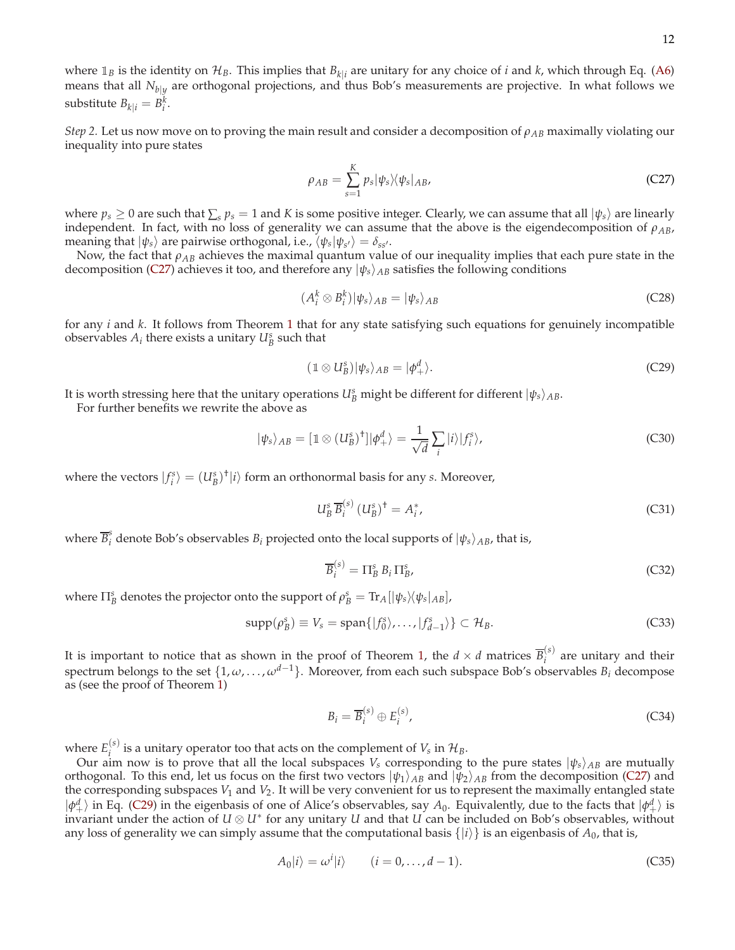where  $\mathbb{1}_B$  is the identity on  $\mathcal{H}_B$ . This implies that  $B_{k|i}$  are unitary for any choice of *i* and *k*, which through Eq. [\(A6\)](#page-5-5) means that all *<sup>N</sup>b*|*<sup>y</sup>* are orthogonal projections, and thus Bob's measurements are projective. In what follows we substitute  $B_{k|i} = B_i^k$ .

*Step 2.* Let us now move on to proving the main result and consider a decomposition of  $\rho_{AB}$  maximally violating our inequality into pure states

<span id="page-11-0"></span>
$$
\rho_{AB} = \sum_{s=1}^{K} p_s |\psi_s\rangle\langle\psi_s|_{AB},\tag{C27}
$$

where  $p_s \geq 0$  are such that  $\sum_s p_s = 1$  and *K* is some positive integer. Clearly, we can assume that all  $|\psi_s\rangle$  are linearly independent. In fact, with no loss of generality we can assume that the above is the eigendecomposition of  $\rho_{AB}$ , meaning that  $|\psi_s\rangle$  are pairwise orthogonal, i.e.,  $\langle \psi_s | \psi_{s'} \rangle = \delta_{ss'}$ .

Now, the fact that *ρAB* achieves the maximal quantum value of our inequality implies that each pure state in the decomposition [\(C27\)](#page-11-0) achieves it too, and therefore any  $|\psi_s\rangle_{AB}$  satisfies the following conditions

<span id="page-11-2"></span>
$$
(A_i^k \otimes B_i^k)|\psi_s\rangle_{AB} = |\psi_s\rangle_{AB} \tag{C28}
$$

for any *i* and *k*. It follows from Theorem [1](#page-8-0) that for any state satisfying such equations for genuinely incompatible observables  $A_i$  there exists a unitary  $U_B^s$  such that

<span id="page-11-1"></span>
$$
(\mathbb{1} \otimes U_B^s)|\psi_s\rangle_{AB} = |\phi_+^d\rangle. \tag{C29}
$$

It is worth stressing here that the unitary operations  $U_B^s$  might be different for different  $|\psi_s\rangle_{AB}$ .

For further benefits we rewrite the above as

<span id="page-11-3"></span>
$$
|\psi_s\rangle_{AB} = [1 \otimes (U^s_B)^{\dagger}]|\phi^d_+\rangle = \frac{1}{\sqrt{d}}\sum_i |i\rangle|f^s_i\rangle,\tag{C30}
$$

where the vectors  $|f_i^s\rangle = (U_B^s)^{\dagger} |i\rangle$  form an orthonormal basis for any *s*. Moreover,

$$
U_B^s \overline{B}_i^{(s)} \left( U_B^s \right)^{\dagger} = A_i^*,\tag{C31}
$$

where  $\overline{B}^s_i$  denote Bob's observables  $B_i$  projected onto the local supports of  $|\psi_s\rangle_{AB}$ , that is,

$$
\overline{B}_i^{(s)} = \Pi_B^s \, B_i \, \Pi_B^s \tag{C32}
$$

where  $\Pi_B^s$  denotes the projector onto the support of  $\rho_B^s = \text{Tr}_A[|\psi_s\rangle\langle\psi_s|_{AB}]$ ,

$$
\text{supp}(\rho_B^s) \equiv V_s = \text{span}\{|f_0^s\rangle, \dots, |f_{d-1}^s\rangle\} \subset \mathcal{H}_B. \tag{C33}
$$

It is important to notice that as shown in the proof of Theorem [1,](#page-8-0) the  $d \times d$  matrices  $\overline{B}_i^{(s)}$  $i_j^{(s)}$  are unitary and their spectrum belongs to the set  $\{1, \omega, \ldots, \omega^{d-1}\}$ . Moreover, from each such subspace Bob's observables  $B_i$  decompose as (see the proof of Theorem [1\)](#page-8-0)

<span id="page-11-4"></span>
$$
B_i = \overline{B}_i^{(s)} \oplus E_i^{(s)},\tag{C34}
$$

where  $E_i^{(s)}$  $i_j$  is a unitary operator too that acts on the complement of  $V_s$  in  $\mathcal{H}_B$ .

Our aim now is to prove that all the local subspaces  $V_s$  corresponding to the pure states  $|\psi_s\rangle_{AB}$  are mutually orthogonal. To this end, let us focus on the first two vectors  $|\psi_1\rangle_{AB}$  and  $|\psi_2\rangle_{AB}$  from the decomposition [\(C27\)](#page-11-0) and the corresponding subspaces  $V_1$  and  $V_2$ . It will be very convenient for us to represent the maximally entangled state  $|\phi_{+}^{d}\rangle$  in Eq. [\(C29\)](#page-11-1) in the eigenbasis of one of Alice's observables, say *A*<sub>0</sub>. Equivalently, due to the facts that  $|\phi_{+}^{d}\rangle$  is invariant under the action of  $U \otimes U^*$  for any unitary  $U$  and that  $U$  can be included on Bob's observables, without any loss of generality we can simply assume that the computational basis  $\{|i\rangle\}$  is an eigenbasis of  $A_0$ , that is,

$$
A_0|i\rangle = \omega^i|i\rangle \qquad (i = 0, \dots, d - 1). \tag{C35}
$$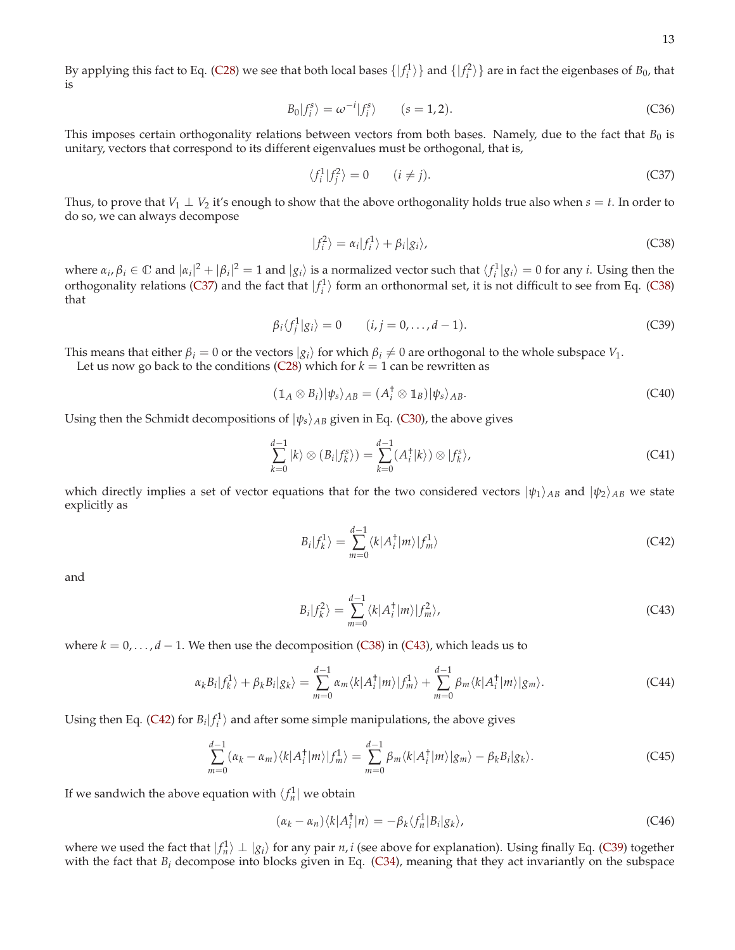By applying this fact to Eq. [\(C28\)](#page-11-2) we see that both local bases  $\{|f_i^1\rangle\}$  and  $\{|f_i^2\rangle\}$  are in fact the eigenbases of  $B_0$ , that is

$$
B_0|f_i^s\rangle = \omega^{-i}|f_i^s\rangle \qquad (s = 1, 2). \tag{C36}
$$

This imposes certain orthogonality relations between vectors from both bases. Namely, due to the fact that  $B_0$  is unitary, vectors that correspond to its different eigenvalues must be orthogonal, that is,

<span id="page-12-0"></span>
$$
\langle f_i^1 | f_j^2 \rangle = 0 \qquad (i \neq j). \tag{C37}
$$

Thus, to prove that  $V_1 \perp V_2$  it's enough to show that the above orthogonality holds true also when  $s = t$ . In order to do so, we can always decompose

<span id="page-12-1"></span>
$$
|f_i^2\rangle = \alpha_i|f_i^1\rangle + \beta_i|g_i\rangle,\tag{C38}
$$

where  $\alpha_i, \beta_i \in \mathbb{C}$  and  $|\alpha_i|^2 + |\beta_i|^2 = 1$  and  $|g_i\rangle$  is a normalized vector such that  $\langle f_i^1 | g_i \rangle = 0$  for any *i*. Using then the orthogonality relations [\(C37\)](#page-12-0) and the fact that  $|f_i^1\rangle$  form an orthonormal set, it is not difficult to see from Eq. [\(C38\)](#page-12-1) that

<span id="page-12-4"></span>
$$
\beta_i \langle f_j^1 | g_i \rangle = 0 \qquad (i, j = 0, \dots, d-1). \tag{C39}
$$

This means that either  $\beta_i = 0$  or the vectors  $|g_i\rangle$  for which  $\beta_i \neq 0$  are orthogonal to the whole subspace  $V_1$ .

Let us now go back to the conditions [\(C28\)](#page-11-2) which for  $k = 1$  can be rewritten as

$$
(\mathbb{1}_A \otimes B_i)|\psi_s\rangle_{AB} = (A_i^{\dagger} \otimes \mathbb{1}_B)|\psi_s\rangle_{AB}.
$$
 (C40)

Using then the Schmidt decompositions of  $|\psi_s\rangle_{AB}$  given in Eq. [\(C30\)](#page-11-3), the above gives

$$
\sum_{k=0}^{d-1} |k\rangle \otimes (B_i|f_k^s\rangle) = \sum_{k=0}^{d-1} (A_i^{\dagger}|k\rangle) \otimes |f_k^s\rangle,
$$
 (C41)

which directly implies a set of vector equations that for the two considered vectors  $|\psi_1\rangle_{AB}$  and  $|\psi_2\rangle_{AB}$  we state explicitly as

<span id="page-12-3"></span>
$$
B_i|f_k^1\rangle = \sum_{m=0}^{d-1} \langle k|A_i^{\dagger}|m\rangle |f_m^1\rangle
$$
 (C42)

and

<span id="page-12-2"></span>
$$
B_i|f_k^2\rangle = \sum_{m=0}^{d-1} \langle k|A_i^{\dagger}|m\rangle |f_m^2\rangle, \tag{C43}
$$

where  $k = 0, \ldots, d - 1$ . We then use the decomposition [\(C38\)](#page-12-1) in [\(C43\)](#page-12-2), which leads us to

$$
\alpha_k B_i |f_k^1\rangle + \beta_k B_i |g_k\rangle = \sum_{m=0}^{d-1} \alpha_m \langle k|A_i^{\dagger}|m\rangle |f_m^1\rangle + \sum_{m=0}^{d-1} \beta_m \langle k|A_i^{\dagger}|m\rangle |g_m\rangle.
$$
 (C44)

Using then Eq. [\(C42\)](#page-12-3) for  $B_i | f_i^1 \rangle$  and after some simple manipulations, the above gives

$$
\sum_{m=0}^{d-1} (\alpha_k - \alpha_m) \langle k | A_i^{\dagger} | m \rangle | f_m^1 \rangle = \sum_{m=0}^{d-1} \beta_m \langle k | A_i^{\dagger} | m \rangle | g_m \rangle - \beta_k B_i | g_k \rangle.
$$
 (C45)

If we sandwich the above equation with  $\langle f_n^1 |$  we obtain

$$
(\alpha_k - \alpha_n) \langle k | A_i^{\dagger} | n \rangle = -\beta_k \langle f_n^1 | B_i | g_k \rangle, \tag{C46}
$$

where we used the fact that  $|f_n^1\rangle \perp |g_i\rangle$  for any pair *n*, *i* (see above for explanation). Using finally Eq. [\(C39\)](#page-12-4) together with the fact that  $B_i$  decompose into blocks given in Eq. [\(C34\)](#page-11-4), meaning that they act invariantly on the subspace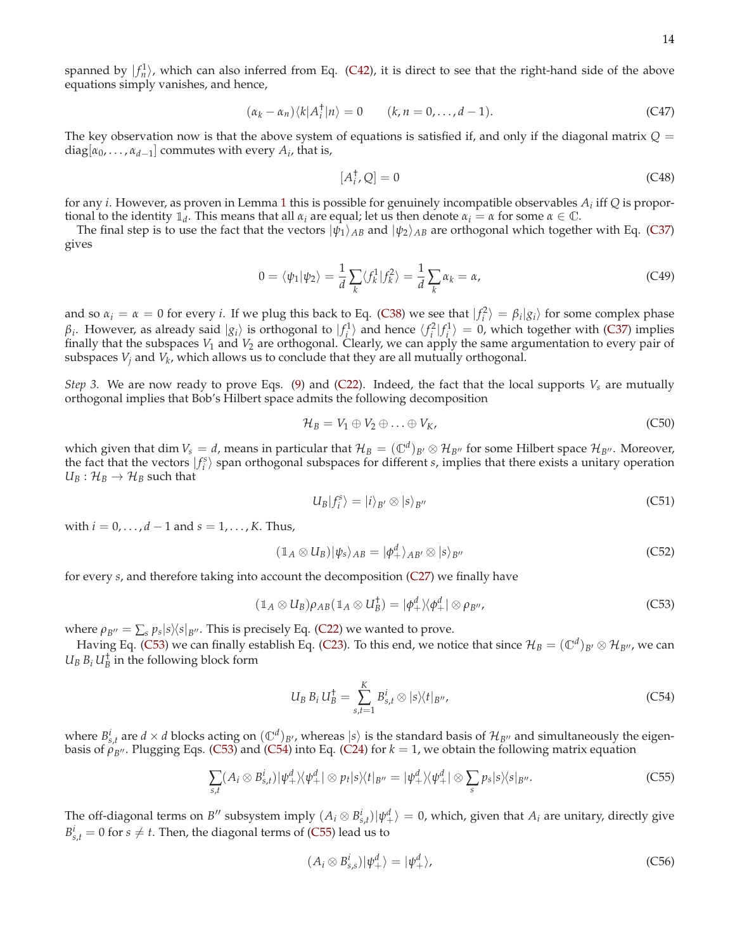$$
(\alpha_k - \alpha_n) \langle k | A_i^{\dagger} | n \rangle = 0 \qquad (k, n = 0, \dots, d - 1). \tag{C47}
$$

The key observation now is that the above system of equations is satisfied if, and only if the diagonal matrix  $Q =$  $diag[\alpha_0, \ldots, \alpha_{d-1}]$  commutes with every  $A_i$ , that is,

$$
[A_i^{\dagger}, Q] = 0 \tag{C48}
$$

for any *i*. However, as proven in Lemma [1](#page-7-0) this is possible for genuinely incompatible observables *A<sup>i</sup>* iff *Q* is proportional to the identity  $\mathbb{1}_d$ . This means that all  $\alpha_i$  are equal; let us then denote  $\alpha_i = \alpha$  for some  $\alpha \in \mathbb{C}$ .

The final step is to use the fact that the vectors  $|\psi_1\rangle_{AB}$  and  $|\psi_2\rangle_{AB}$  are orthogonal which together with Eq. [\(C37\)](#page-12-0) gives

$$
0 = \langle \psi_1 | \psi_2 \rangle = \frac{1}{d} \sum_k \langle f_k^1 | f_k^2 \rangle = \frac{1}{d} \sum_k \alpha_k = \alpha,
$$
 (C49)

and so  $\alpha_i = \alpha = 0$  for every *i*. If we plug this back to Eq. [\(C38\)](#page-12-1) we see that  $|f_i^2\rangle = \beta_i |g_i\rangle$  for some complex phase *β*<sup>*i*</sup>. However, as already said  $|g_i\rangle$  is orthogonal to  $|f_i^1\rangle$  and hence  $\langle f_i^2|f_i^1\rangle = 0$ , which together with [\(C37\)](#page-12-0) implies finally that the subspaces  $V_1$  and  $V_2$  are orthogonal. Clearly, we can apply the same argumentation to every pair of subspaces *V<sup>j</sup>* and *V<sup>k</sup>* , which allows us to conclude that they are all mutually orthogonal.

*Step 3.* We are now ready to prove Eqs. [\(9\)](#page-2-5) and [\(C22\)](#page-10-2). Indeed, the fact that the local supports  $V_s$  are mutually orthogonal implies that Bob's Hilbert space admits the following decomposition

$$
\mathcal{H}_B = V_1 \oplus V_2 \oplus \ldots \oplus V_K, \tag{C50}
$$

which given that dim  $V_s = d$ , means in particular that  $\mathcal{H}_B = (\mathbb{C}^d)_{B'} \otimes \mathcal{H}_{B''}$  for some Hilbert space  $\mathcal{H}_{B''}$ . Moreover, the fact that the vectors  $|f_i^s\rangle$  span orthogonal subspaces for different *s*, implies that there exists a unitary operation  $U_B: \mathcal{H}_B \to \mathcal{H}_B$  such that

$$
U_B|f_i^s\rangle = |i\rangle_{B'} \otimes |s\rangle_{B''}
$$
 (C51)

with  $i = 0, ..., d - 1$  and  $s = 1, ..., K$ . Thus,

$$
(\mathbb{1}_A \otimes U_B)|\psi_s\rangle_{AB} = |\phi_+^d\rangle_{AB'} \otimes |s\rangle_{B''}
$$
 (C52)

for every *s*, and therefore taking into account the decomposition [\(C27\)](#page-11-0) we finally have

<span id="page-13-0"></span>
$$
(\mathbb{1}_A \otimes U_B)\rho_{AB}(\mathbb{1}_A \otimes U_B^{\dagger}) = |\phi_+^d\rangle\langle\phi_+^d| \otimes \rho_{B''},
$$
\n(C53)

where  $\rho_{B''} = \sum_{s} p_s |s\rangle\langle s|_{B''}$ . This is precisely Eq. [\(C22\)](#page-10-2) we wanted to prove.

Having Eq. [\(C53\)](#page-13-0) we can finally establish Eq. [\(C23\)](#page-10-3). To this end, we notice that since  $\mathcal{H}_B = (\mathbb{C}^d)_{B'} \otimes \mathcal{H}_{B''}$ , we can  $U_B B_i U_B^{\dagger}$  in the following block form

<span id="page-13-1"></span>
$$
U_B B_i U_B^{\dagger} = \sum_{s,t=1}^{K} B_{s,t}^i \otimes |s\rangle\langle t|_{B''},
$$
\n(C54)

where  $B_{s,t}^i$  are  $d \times d$  blocks acting on  $(\mathbb{C}^d)_{B'}$ , whereas  $|s\rangle$  is the standard basis of  $\mathcal{H}_{B''}$  and simultaneously the eigenbasis of  $\rho_{B''}$ . Plugging Eqs. [\(C53\)](#page-13-0) and [\(C54\)](#page-13-1) into Eq. [\(C24\)](#page-10-4) for  $k = 1$ , we obtain the following matrix equation

<span id="page-13-2"></span>
$$
\sum_{s,t} (A_i \otimes B_{s,t}^i) |\psi_+^d \rangle \langle \psi_+^d| \otimes p_t |s \rangle \langle t |_{B''} = |\psi_+^d \rangle \langle \psi_+^d| \otimes \sum_s p_s |s \rangle \langle s |_{B''}.
$$
 (C55)

The off-diagonal terms on *B*<sup>*''*</sup> subsystem imply  $(A_i \otimes B_{s,t}^i)|\psi_+^d\rangle = 0$ , which, given that  $A_i$  are unitary, directly give  $B_{s,t}^i = 0$  for  $s \neq t$ . Then, the diagonal terms of [\(C55\)](#page-13-2) lead us to

$$
(A_i \otimes B_{s,s}^i)|\psi_+^d\rangle = |\psi_+^d\rangle,\tag{C56}
$$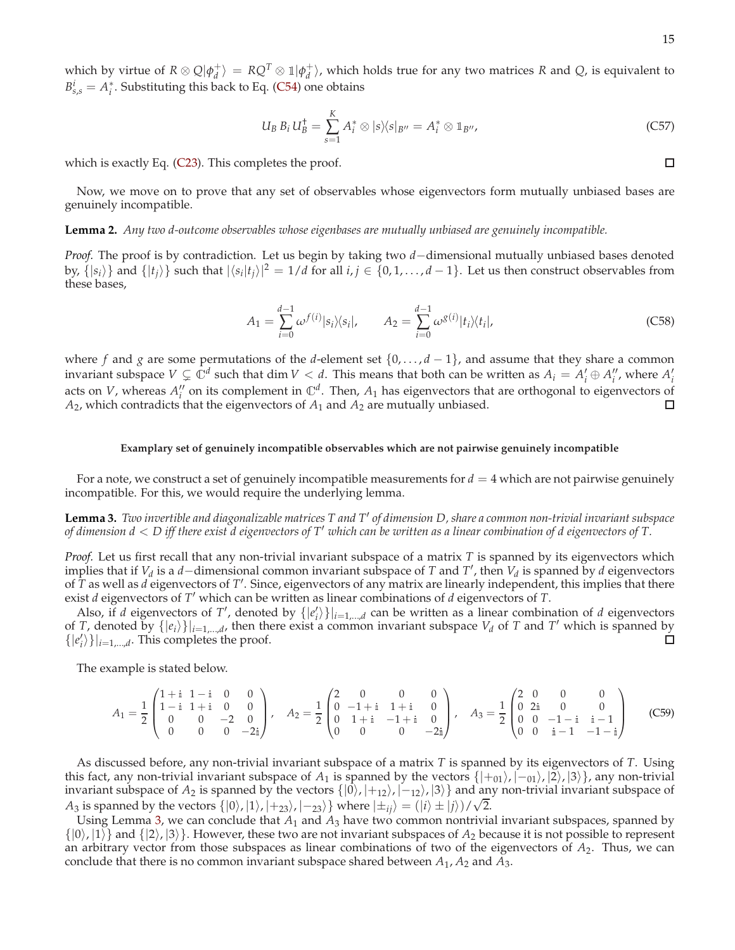which by virtue of  $R \otimes Q | \phi_d^+ \rangle = R Q^T \otimes \mathbb{1} | \phi_d^+ \rangle$ , which holds true for any two matrices  $R$  and  $Q$ , is equivalent to  $B_{s,s}^i = A_i^*$ . Substituting this back to Eq. [\(C54\)](#page-13-1) one obtains

$$
U_B B_i U_B^{\dagger} = \sum_{s=1}^{K} A_i^* \otimes |s\rangle\langle s|_{B''} = A_i^* \otimes \mathbb{1}_{B''},
$$
 (C57)

which is exactly Eq. [\(C23\)](#page-10-3). This completes the proof.

Now, we move on to prove that any set of observables whose eigenvectors form mutually unbiased bases are genuinely incompatible.

# **Lemma 2.** *Any two d-outcome observables whose eigenbases are mutually unbiased are genuinely incompatible.*

*Proof.* The proof is by contradiction. Let us begin by taking two *d*−dimensional mutually unbiased bases denoted by,  $\{|s_i\rangle\}$  and  $\{|t_j\rangle\}$  such that  $|\langle s_i|t_j\rangle|^2 = 1/d$  for all  $i, j \in \{0, 1, ..., d-1\}$ . Let us then construct observables from these bases,

$$
A_1 = \sum_{i=0}^{d-1} \omega^{f(i)} |s_i\rangle\langle s_i|, \qquad A_2 = \sum_{i=0}^{d-1} \omega^{g(i)} |t_i\rangle\langle t_i|,\tag{C58}
$$

where *f* and *g* are some permutations of the *d*-element set  $\{0, \ldots, d-1\}$ , and assume that they share a common invariant subspace  $V \subsetneq \mathbb{C}^d$  such that dim  $V < d$ . This means that both can be written as  $A_i = A'_i \oplus A''_i$ , where  $A'_i$ acts on *V*, whereas  $A''_i$  on its complement in  $\mathbb{C}^d$ . Then,  $A_1$  has eigenvectors that are orthogonal to eigenvectors of *A*2, which contradicts that the eigenvectors of *A*<sup>1</sup> and *A*<sup>2</sup> are mutually unbiased. □

### **Examplary set of genuinely incompatible observables which are not pairwise genuinely incompatible**

For a note, we construct a set of genuinely incompatible measurements for  $d = 4$  which are not pairwise genuinely incompatible. For this, we would require the underlying lemma.

<span id="page-14-0"></span>**Lemma 3.** *Two invertible and diagonalizable matrices T and T*′ *of dimension D, share a common non-trivial invariant subspace of dimension d* < *D iff there exist d eigenvectors of T*′ *which can be written as a linear combination of d eigenvectors of T.*

*Proof.* Let us first recall that any non-trivial invariant subspace of a matrix *T* is spanned by its eigenvectors which implies that if *V<sup>d</sup>* is a *d*−dimensional common invariant subspace of *T* and *T* ′ , then *V<sup>d</sup>* is spanned by *d* eigenvectors of *T* as well as *d* eigenvectors of *T'*. Since, eigenvectors of any matrix are linearly independent, this implies that there exist *d* eigenvectors of *T* ′ which can be written as linear combinations of *d* eigenvectors of *T*.

Also, if *d* eigenvectors of *T'*, denoted by  $\{|e'_i\rangle\}|_{i=1,\dots,d}$  can be written as a linear combination of *d* eigenvectors of *T*, denoted by  $\{|e_i\rangle\}|_{i=1,\dots,d}$ , then there exist a common invariant subspace  $V_d$  of *T* and *T'* which is spanned by  $\{|e'_{i}\rangle\}|_{i=1,\dots,d}$ . This completes the proof.  $\Box$ 

The example is stated below.

$$
A_1 = \frac{1}{2} \begin{pmatrix} 1+i & 1-i & 0 & 0 \\ 1-i & 1+i & 0 & 0 \\ 0 & 0 & -2 & 0 \\ 0 & 0 & 0 & -2i \end{pmatrix}, \quad A_2 = \frac{1}{2} \begin{pmatrix} 2 & 0 & 0 & 0 \\ 0 & -1+i & 1+i & 0 \\ 0 & 1+i & -1+i & 0 \\ 0 & 0 & 0 & -2i \end{pmatrix}, \quad A_3 = \frac{1}{2} \begin{pmatrix} 2 & 0 & 0 & 0 \\ 0 & 2i & 0 & 0 \\ 0 & 0 & -1-i & i-1 \\ 0 & 0 & i-1 & -1-i \end{pmatrix}
$$
(C59)

As discussed before, any non-trivial invariant subspace of a matrix *T* is spanned by its eigenvectors of *T*. Using this fact, any non-trivial invariant subspace of *A*<sub>1</sub> is spanned by the vectors  $\{|+_{01}\rangle, |-_{01}\rangle, |2\rangle, |3\rangle\}$ , any non-trivial invariant subspace of  $A_2$  is spanned by the vectors  $\{|0\rangle, |+_12\rangle, |-_12\rangle, |3\rangle\}$  and any non-trivial invariant subspace of *A*<sub>3</sub> is spanned by the vectors  $\{|0\rangle, |1\rangle, |+23\rangle, |-23\rangle\}$  where  $|\pm_{ij}\rangle = (|i\rangle \pm |j\rangle)/\sqrt{2}$ .

Using Lemma [3,](#page-14-0) we can conclude that *A*<sup>1</sup> and *A*<sup>3</sup> have two common nontrivial invariant subspaces, spanned by  $\{|0\rangle, |1\rangle\}$  and  $\{|2\rangle, |3\rangle\}$ . However, these two are not invariant subspaces of  $A_2$  because it is not possible to represent an arbitrary vector from those subspaces as linear combinations of two of the eigenvectors of *A*2. Thus, we can conclude that there is no common invariant subspace shared between *A*<sup>1</sup> , *A*<sup>2</sup> and *A*3.

 $\Box$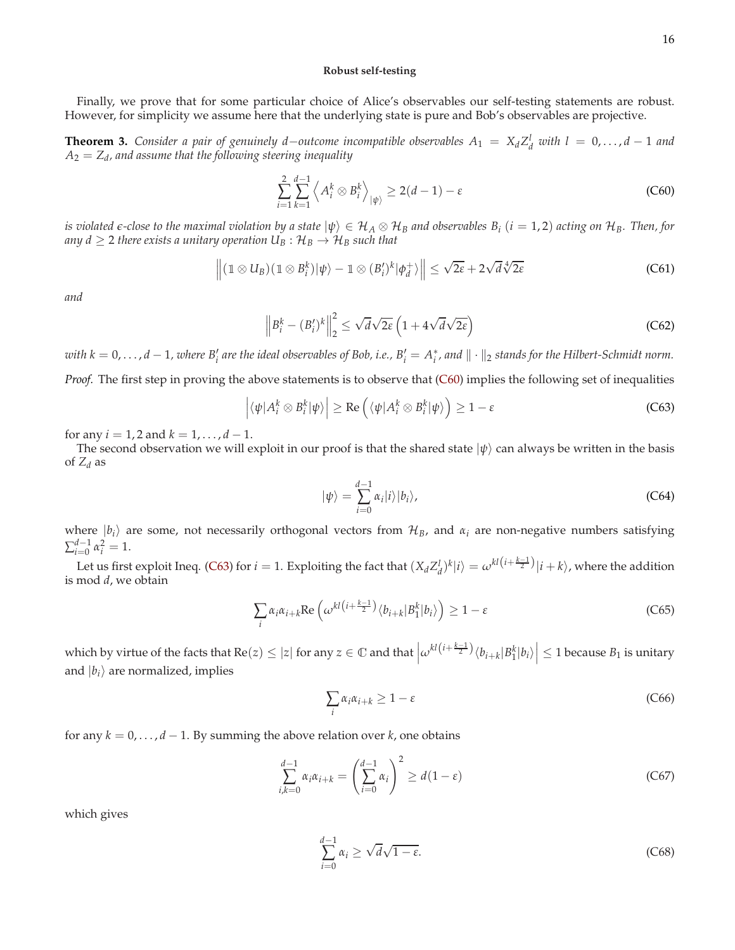## **Robust self-testing**

Finally, we prove that for some particular choice of Alice's observables our self-testing statements are robust. However, for simplicity we assume here that the underlying state is pure and Bob's observables are projective.

**Theorem 3.** Consider a pair of genuinely d–outcome incompatible observables  $A_1 = X_d Z_d^l$  with  $l = 0, \ldots, d-1$  and *A*<sup>2</sup> = *Z<sup>d</sup> , and assume that the following steering inequality*

<span id="page-15-0"></span>
$$
\sum_{i=1}^{2} \sum_{k=1}^{d-1} \left\langle A_i^k \otimes B_i^k \right\rangle_{|\psi\rangle} \ge 2(d-1) - \varepsilon
$$
\n(C60)

 $i$ *s violated*  $\epsilon$ *-close to the maximal violation by a state*  $|\psi\rangle\in\mathcal{H}_A\otimes\mathcal{H}_B$  *and observables*  $B_i$  $(i=1,2)$  *acting on*  $\mathcal{H}_B$ *. Then, for any d*  $\geq$  2 *there exists a unitary operation*  $U_B$  :  $\mathcal{H}_B \rightarrow \mathcal{H}_B$  *such that* 

<span id="page-15-5"></span>
$$
\left\| (1 \otimes U_B)(1 \otimes B_i^k)|\psi\rangle - 1 \otimes (B_i')^k|\phi_d^+\rangle \right\| \leq \sqrt{2\varepsilon} + 2\sqrt{d}\sqrt[4]{2\varepsilon}
$$
 (C61)

*and*

<span id="page-15-6"></span>
$$
\left\| B_i^k - (B_i')^k \right\|_2^2 \le \sqrt{d} \sqrt{2\varepsilon} \left( 1 + 4\sqrt{d} \sqrt{2\varepsilon} \right) \tag{C62}
$$

 $with$   $k = 0, \ldots, d-1$ , where  $B'_i$  are the ideal observables of Bob, i.e.,  $B'_i = A^*_i$ , and  $\|\cdot\|_2$  stands for the Hilbert-Schmidt norm. *Proof.* The first step in proving the above statements is to observe that [\(C60\)](#page-15-0) implies the following set of inequalities

<span id="page-15-1"></span>
$$
\left| \langle \psi | A_i^k \otimes B_i^k | \psi \rangle \right| \ge \text{Re} \left( \langle \psi | A_i^k \otimes B_i^k | \psi \rangle \right) \ge 1 - \varepsilon
$$
 (C63)

for any  $i = 1, 2$  and  $k = 1, ..., d - 1$ .

The second observation we will exploit in our proof is that the shared state  $|\psi\rangle$  can always be written in the basis of  $Z_d$  as

<span id="page-15-4"></span>
$$
|\psi\rangle = \sum_{i=0}^{d-1} \alpha_i |i\rangle |b_i\rangle, \tag{C64}
$$

where  $|b_i\rangle$  are some, not necessarily orthogonal vectors from  $\mathcal{H}_B$ , and  $\alpha_i$  are non-negative numbers satisfying  $\sum_{i=0}^{d-1} \alpha_i^2 = 1.$ 

Let us first exploit Ineq. [\(C63\)](#page-15-1) for  $i = 1$ . Exploiting the fact that  $(X_d Z_d^l)^k | i \rangle = \omega^{kl(i + \frac{k-1}{2})} |i + k\rangle$ , where the addition is mod *d*, we obtain

$$
\sum_{i} \alpha_{i} \alpha_{i+k} \text{Re}\left(\omega^{kl\left(i+\frac{k-1}{2}\right)} \langle b_{i+k} | B_{1}^{k} | b_{i} \rangle \right) \ge 1 - \varepsilon
$$
\n(C65)

which by virtue of the facts that  $Re(z) \le |z|$  for any  $z \in \mathbb{C}$  and that  $\left| \omega^{kl(i+\frac{k-1}{2})} \langle b_{i+k} | B_1^k | b_i \rangle \right|$  $\vert \leq 1$  because  $B_1$  is unitary and  $|b_i\rangle$  are normalized, implies

$$
\sum_{i} \alpha_{i} \alpha_{i+k} \ge 1 - \varepsilon \tag{C66}
$$

for any  $k = 0, \ldots, d - 1$ . By summing the above relation over *k*, one obtains

<span id="page-15-3"></span>
$$
\sum_{i,k=0}^{d-1} \alpha_i \alpha_{i+k} = \left(\sum_{i=0}^{d-1} \alpha_i\right)^2 \ge d(1-\varepsilon)
$$
\n(C67)

which gives

<span id="page-15-2"></span>
$$
\sum_{i=0}^{d-1} \alpha_i \ge \sqrt{d} \sqrt{1 - \varepsilon}.\tag{C68}
$$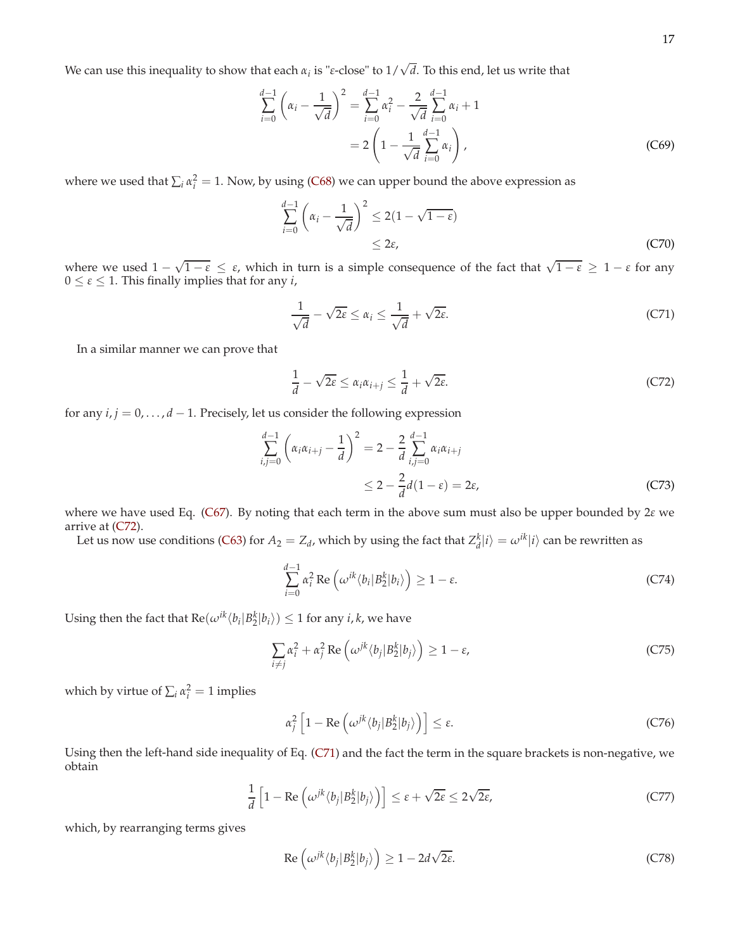We can use this inequality to show that each  $α_i$  is "ε-close" to 1/ $\sqrt{d}$ . To this end, let us write that

$$
\sum_{i=0}^{d-1} \left( \alpha_i - \frac{1}{\sqrt{d}} \right)^2 = \sum_{i=0}^{d-1} \alpha_i^2 - \frac{2}{\sqrt{d}} \sum_{i=0}^{d-1} \alpha_i + 1
$$

$$
= 2 \left( 1 - \frac{1}{\sqrt{d}} \sum_{i=0}^{d-1} \alpha_i \right), \tag{C69}
$$

where we used that  $\sum_i \alpha_i^2 = 1$ . Now, by using [\(C68\)](#page-15-2) we can upper bound the above expression as

$$
\sum_{i=0}^{d-1} \left( \alpha_i - \frac{1}{\sqrt{d}} \right)^2 \le 2(1 - \sqrt{1 - \varepsilon}) \le 2\varepsilon,
$$
\n(C70)

where we used  $1 - \sqrt{1 - \varepsilon} \leq \varepsilon$ , which in turn is a simple consequence of the fact that  $\sqrt{1 - \varepsilon} \geq 1 - \varepsilon$  for any  $0 \leq \varepsilon \leq 1$ . This finally implies that for any *i*,

<span id="page-16-1"></span>
$$
\frac{1}{\sqrt{d}} - \sqrt{2\varepsilon} \le \alpha_i \le \frac{1}{\sqrt{d}} + \sqrt{2\varepsilon}.\tag{C71}
$$

In a similar manner we can prove that

<span id="page-16-0"></span>
$$
\frac{1}{d} - \sqrt{2\varepsilon} \le \alpha_i \alpha_{i+j} \le \frac{1}{d} + \sqrt{2\varepsilon}.\tag{C72}
$$

for any *i*, *j* = 0, . . . , *d* − 1. Precisely, let us consider the following expression

$$
\sum_{i,j=0}^{d-1} \left( \alpha_i \alpha_{i+j} - \frac{1}{d} \right)^2 = 2 - \frac{2}{d} \sum_{i,j=0}^{d-1} \alpha_i \alpha_{i+j}
$$
  
 
$$
\leq 2 - \frac{2}{d} d(1 - \varepsilon) = 2\varepsilon,
$$
 (C73)

where we have used Eq. [\(C67\)](#page-15-3). By noting that each term in the above sum must also be upper bounded by 2*ε* we arrive at [\(C72\)](#page-16-0).

Let us now use conditions [\(C63\)](#page-15-1) for  $A_2 = Z_d$ , which by using the fact that  $Z_d^k|i\rangle = \omega^{ik}|i\rangle$  can be rewritten as

$$
\sum_{i=0}^{d-1} \alpha_i^2 \operatorname{Re} \left( \omega^{ik} \langle b_i | B_2^k | b_i \rangle \right) \ge 1 - \varepsilon. \tag{C74}
$$

Using then the fact that  $\text{Re}(\omega^{ik} \langle b_i | B_2^k | b_i \rangle) \leq 1$  for any *i*, *k*, we have

$$
\sum_{i \neq j} \alpha_i^2 + \alpha_j^2 \operatorname{Re} \left( \omega^{jk} \langle b_j | B_2^k | b_j \rangle \right) \ge 1 - \varepsilon,
$$
 (C75)

which by virtue of  $\sum_i \alpha_i^2 = 1$  implies

$$
\alpha_j^2 \left[ 1 - \text{Re} \left( \omega^{jk} \langle b_j | B_2^k | b_j \rangle \right) \right] \le \varepsilon. \tag{C76}
$$

Using then the left-hand side inequality of Eq. [\(C71\)](#page-16-1) and the fact the term in the square brackets is non-negative, we obtain

$$
\frac{1}{d} \left[ 1 - \text{Re} \left( \omega^{jk} \langle b_j | B_2^k | b_j \rangle \right) \right] \le \varepsilon + \sqrt{2\varepsilon} \le 2\sqrt{2\varepsilon},\tag{C77}
$$

which, by rearranging terms gives

<span id="page-16-2"></span>
$$
\operatorname{Re}\left(\omega^{jk}\langle b_j|B_2^k|b_j\rangle\right) \ge 1 - 2d\sqrt{2\varepsilon}.\tag{C78}
$$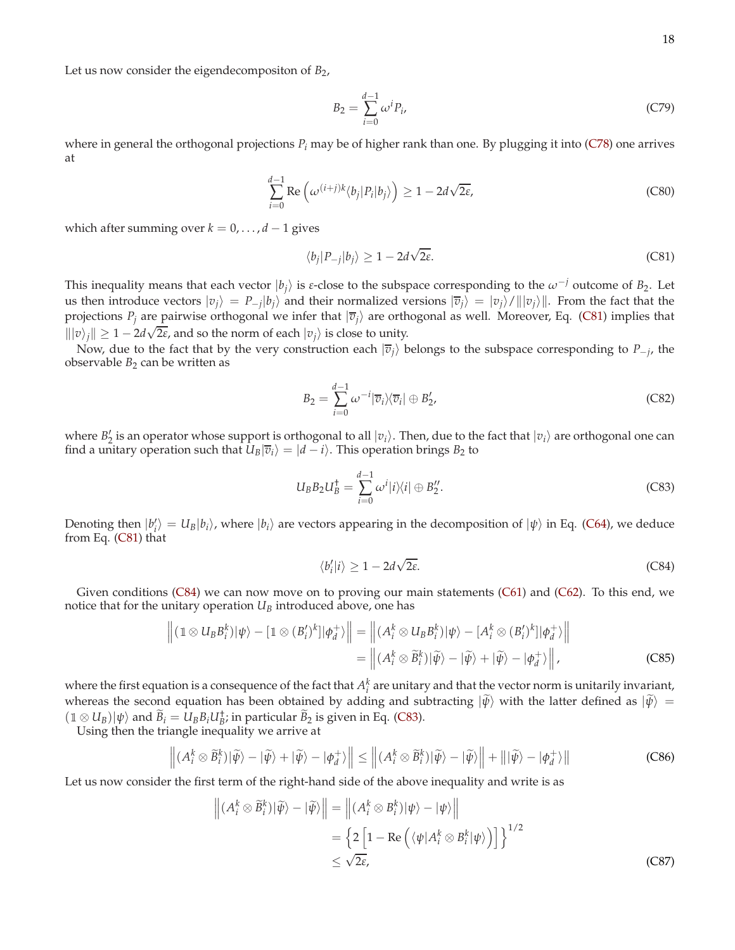Let us now consider the eigendecompositon of *B*<sub>2</sub>,

$$
B_2 = \sum_{i=0}^{d-1} \omega^i P_i,
$$
 (C79)

where in general the orthogonal projections *P<sup>i</sup>* may be of higher rank than one. By plugging it into [\(C78\)](#page-16-2) one arrives at

$$
\sum_{i=0}^{d-1} \operatorname{Re}\left(\omega^{(i+j)k} \langle b_j | P_i | b_j \rangle\right) \ge 1 - 2d\sqrt{2\varepsilon},\tag{C80}
$$

which after summing over  $k = 0, \ldots, d - 1$  gives

<span id="page-17-0"></span>
$$
\langle b_j | P_{-j} | b_j \rangle \ge 1 - 2d\sqrt{2\varepsilon}.
$$
 (C81)

This inequality means that each vector  $|b_j\rangle$  is *ε*-close to the subspace corresponding to the  $\omega^{-j}$  outcome of  $B_2$ . Let us then introduce vectors  $|v_j\rangle = P_{-j}|b_j\rangle$  and their normalized versions  $|\overline{v}_j\rangle = |v_j\rangle / |||v_j\rangle||$ . From the fact that the projections  $P_i$  are pairwise orthogonal we infer that  $|\overline{v}_i\rangle$  are orthogonal as well. Moreover, Eq. [\(C81\)](#page-17-0) implies that  $\|v_j\| \geq 1 - 2d\sqrt{2\varepsilon}$ , and so the norm of each  $|v_j\rangle$  is close to unity.

Now, due to the fact that by the very construction each  $|\overline{v}_j\rangle$  belongs to the subspace corresponding to  $P_{-j}$ , the observable  $B_2$  can be written as

$$
B_2 = \sum_{i=0}^{d-1} \omega^{-i} |\overline{v}_i\rangle\langle \overline{v}_i| \oplus B'_2,
$$
 (C82)

where  $B'_2$  is an operator whose support is orthogonal to all  $|v_i\rangle$ . Then, due to the fact that  $|v_i\rangle$  are orthogonal one can find a unitary operation such that  $U_B|\overline{v}_i\rangle = |d-i\rangle$ . This operation brings  $B_2$  to

<span id="page-17-2"></span>
$$
U_B B_2 U_B^{\dagger} = \sum_{i=0}^{d-1} \omega^i |i\rangle\langle i| \oplus B_2''.
$$
 (C83)

Denoting then  $|b'_i\rangle = U_B|b_i\rangle$ , where  $|b_i\rangle$  are vectors appearing in the decomposition of  $|\psi\rangle$  in Eq. [\(C64\)](#page-15-4), we deduce from Eq. [\(C81\)](#page-17-0) that

<span id="page-17-1"></span>
$$
\langle b'_i | i \rangle \ge 1 - 2d\sqrt{2\varepsilon}.\tag{C84}
$$

Given conditions [\(C84\)](#page-17-1) we can now move on to proving our main statements [\(C61\)](#page-15-5) and [\(C62\)](#page-15-6). To this end, we notice that for the unitary operation  $U_B$  introduced above, one has

<span id="page-17-5"></span>
$$
\left\| (1 \otimes U_B B_i^k) |\psi\rangle - [1 \otimes (B_i')^k] |\phi_d^+\rangle \right\| = \left\| (A_i^k \otimes U_B B_i^k) |\psi\rangle - [A_i^k \otimes (B_i')^k] |\phi_d^+\rangle \right\|
$$
  

$$
= \left\| (A_i^k \otimes \tilde{B}_i^k) |\tilde{\psi}\rangle - |\tilde{\psi}\rangle + |\tilde{\psi}\rangle - |\phi_d^+\rangle \right\|,
$$
 (C85)

where the first equation is a consequence of the fact that  $A_i^k$  are unitary and that the vector norm is unitarily invariant, whereas the second equation has been obtained by adding and subtracting  $|\tilde{\psi}\rangle$  with the latter defined as  $|\tilde{\psi}\rangle$  =  $(1 \otimes U_B)|\psi\rangle$  and  $\widetilde{B}_i = U_B B_i U_B^{\dagger}$ ; in particular  $\widetilde{B}_2$  is given in Eq. [\(C83\)](#page-17-2).

Using then the triangle inequality we arrive at

<span id="page-17-3"></span>
$$
\left\| (A_i^k \otimes \widetilde{B}_i^k) | \widetilde{\psi} \rangle - | \widetilde{\psi} \rangle + | \widetilde{\psi} \rangle - | \phi_d^+ \rangle \right\| \le \left\| (A_i^k \otimes \widetilde{B}_i^k) | \widetilde{\psi} \rangle - | \widetilde{\psi} \rangle \right\| + \left\| | \widetilde{\psi} \rangle - | \phi_d^+ \rangle \right\| \tag{C86}
$$

Let us now consider the first term of the right-hand side of the above inequality and write is as

<span id="page-17-4"></span>
$$
\left\| (A_i^k \otimes \widetilde{B}_i^k) | \widetilde{\psi} \rangle - | \widetilde{\psi} \rangle \right\| = \left\| (A_i^k \otimes B_i^k) | \psi \rangle - | \psi \rangle \right\|
$$
  
=  $\left\{ 2 \left[ 1 - \text{Re} \left( \langle \psi | A_i^k \otimes B_i^k | \psi \rangle \right) \right] \right\}^{1/2}$   
 $\leq \sqrt{2\varepsilon},$  (C87)